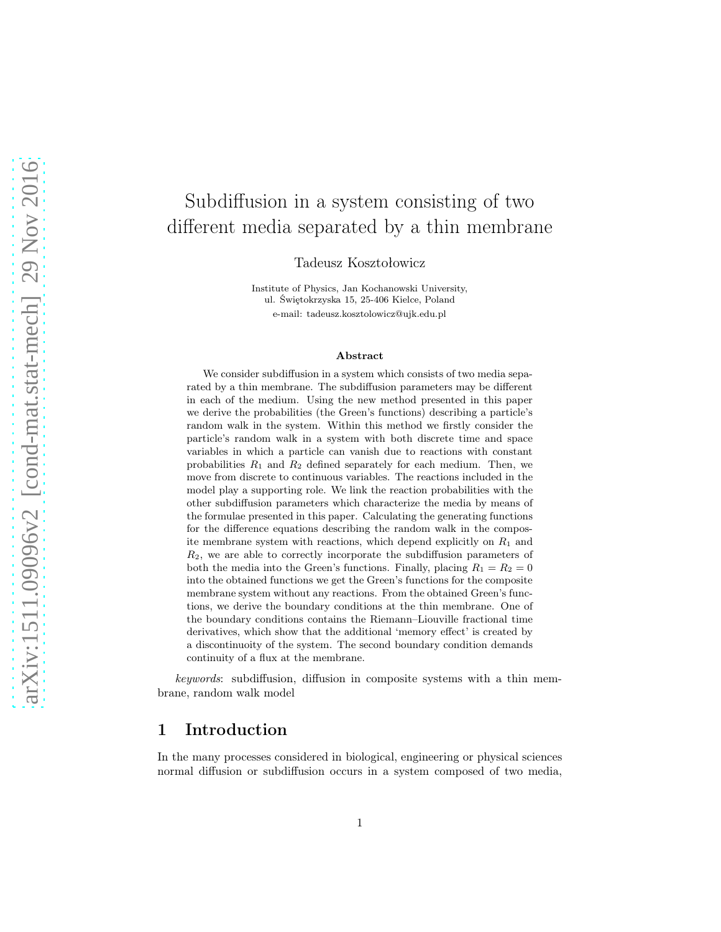# Subdiffusion in a system consisting of two different media separated by a thin membrane

Tadeusz Kosztołowicz

Institute of Physics, Jan Kochanowski University, ul. Świętokrzyska 15, 25-406 Kielce, Poland e-mail: tadeusz.kosztolowicz@ujk.edu.pl

#### Abstract

We consider subdiffusion in a system which consists of two media separated by a thin membrane. The subdiffusion parameters may be different in each of the medium. Using the new method presented in this paper we derive the probabilities (the Green's functions) describing a particle's random walk in the system. Within this method we firstly consider the particle's random walk in a system with both discrete time and space variables in which a particle can vanish due to reactions with constant probabilities  $R_1$  and  $R_2$  defined separately for each medium. Then, we move from discrete to continuous variables. The reactions included in the model play a supporting role. We link the reaction probabilities with the other subdiffusion parameters which characterize the media by means of the formulae presented in this paper. Calculating the generating functions for the difference equations describing the random walk in the composite membrane system with reactions, which depend explicitly on  $R_1$  and  $R<sub>2</sub>$ , we are able to correctly incorporate the subdiffusion parameters of both the media into the Green's functions. Finally, placing  $R_1 = R_2 = 0$ into the obtained functions we get the Green's functions for the composite membrane system without any reactions. From the obtained Green's functions, we derive the boundary conditions at the thin membrane. One of the boundary conditions contains the Riemann–Liouville fractional time derivatives, which show that the additional 'memory effect' is created by a discontinuoity of the system. The second boundary condition demands continuity of a flux at the membrane.

keywords: subdiffusion, diffusion in composite systems with a thin membrane, random walk model

### 1 Introduction

In the many processes considered in biological, engineering or physical sciences normal diffusion or subdiffusion occurs in a system composed of two media,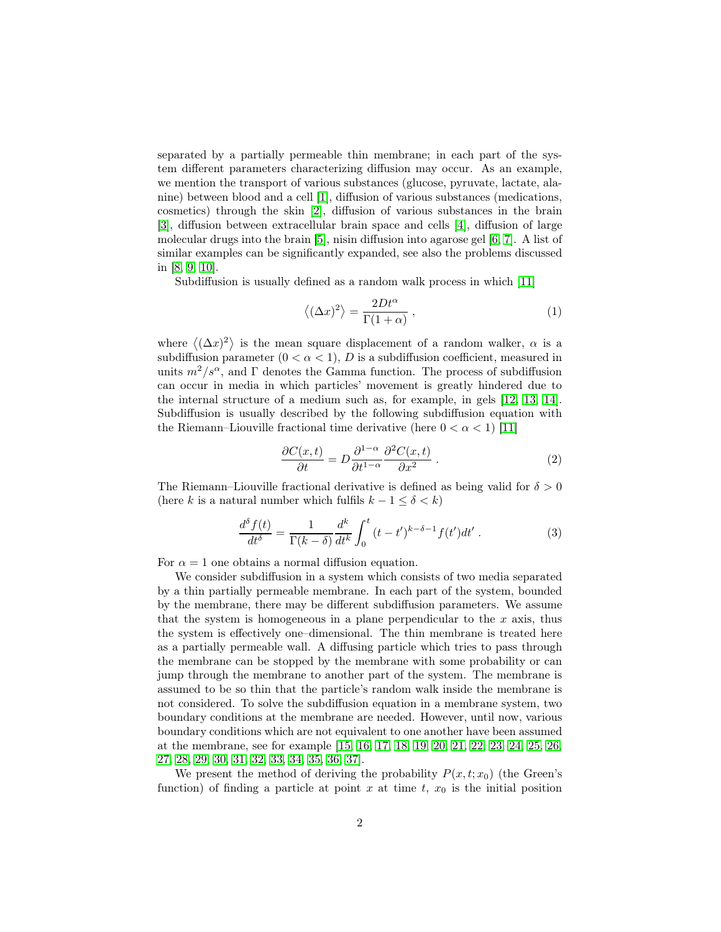separated by a partially permeable thin membrane; in each part of the system different parameters characterizing diffusion may occur. As an example, we mention the transport of various substances (glucose, pyruvate, lactate, alanine) between blood and a cell [\[1\]](#page-23-0), diffusion of various substances (medications, cosmetics) through the skin [\[2\]](#page-23-1), diffusion of various substances in the brain [\[3\]](#page-23-2), diffusion between extracellular brain space and cells [\[4\]](#page-23-3), diffusion of large molecular drugs into the brain [\[5\]](#page-23-4), nisin diffusion into agarose gel [\[6,](#page-23-5) [7\]](#page-23-6). A list of similar examples can be significantly expanded, see also the problems discussed in [\[8,](#page-23-7) [9,](#page-23-8) [10\]](#page-23-9).

Subdiffusion is usually defined as a random walk process in which [\[11\]](#page-24-0)

$$
\langle (\Delta x)^2 \rangle = \frac{2Dt^{\alpha}}{\Gamma(1+\alpha)} , \qquad (1)
$$

where  $\langle (\Delta x)^2 \rangle$  is the mean square displacement of a random walker,  $\alpha$  is a subdiffusion parameter  $(0 < \alpha < 1)$ , D is a subdiffusion coefficient, measured in units  $m^2/s^{\alpha}$ , and Γ denotes the Gamma function. The process of subdiffusion can occur in media in which particles' movement is greatly hindered due to the internal structure of a medium such as, for example, in gels [\[12,](#page-24-1) [13,](#page-24-2) [14\]](#page-24-3). Subdiffusion is usually described by the following subdiffusion equation with the Riemann–Liouville fractional time derivative (here  $0 < \alpha < 1$ ) [\[11\]](#page-24-0)

<span id="page-1-0"></span>
$$
\frac{\partial C(x,t)}{\partial t} = D \frac{\partial^{1-\alpha}}{\partial t^{1-\alpha}} \frac{\partial^2 C(x,t)}{\partial x^2} .
$$
 (2)

The Riemann–Liouville fractional derivative is defined as being valid for  $\delta > 0$ (here k is a natural number which fulfils  $k - 1 \leq \delta < k$ )

<span id="page-1-1"></span>
$$
\frac{d^{\delta}f(t)}{dt^{\delta}} = \frac{1}{\Gamma(k-\delta)}\frac{d^k}{dt^k} \int_0^t (t-t')^{k-\delta-1} f(t')dt' . \tag{3}
$$

For  $\alpha = 1$  one obtains a normal diffusion equation.

We consider subdiffusion in a system which consists of two media separated by a thin partially permeable membrane. In each part of the system, bounded by the membrane, there may be different subdiffusion parameters. We assume that the system is homogeneous in a plane perpendicular to the  $x$  axis, thus the system is effectively one–dimensional. The thin membrane is treated here as a partially permeable wall. A diffusing particle which tries to pass through the membrane can be stopped by the membrane with some probability or can jump through the membrane to another part of the system. The membrane is assumed to be so thin that the particle's random walk inside the membrane is not considered. To solve the subdiffusion equation in a membrane system, two boundary conditions at the membrane are needed. However, until now, various boundary conditions which are not equivalent to one another have been assumed at the membrane, see for example [\[15,](#page-24-4) [16,](#page-24-5) [17,](#page-24-6) [18,](#page-24-7) [19,](#page-24-8) [20,](#page-24-9) [21,](#page-24-10) [22,](#page-24-11) [23,](#page-24-12) [24,](#page-24-13) [25,](#page-24-14) [26,](#page-24-15) [27,](#page-25-0) [28,](#page-25-1) [29,](#page-25-2) [30,](#page-25-3) [31,](#page-25-4) [32,](#page-25-5) [33,](#page-25-6) [34,](#page-25-7) [35,](#page-25-8) [36,](#page-25-9) [37\]](#page-25-10).

We present the method of deriving the probability  $P(x, t; x_0)$  (the Green's function) of finding a particle at point x at time  $t, x_0$  is the initial position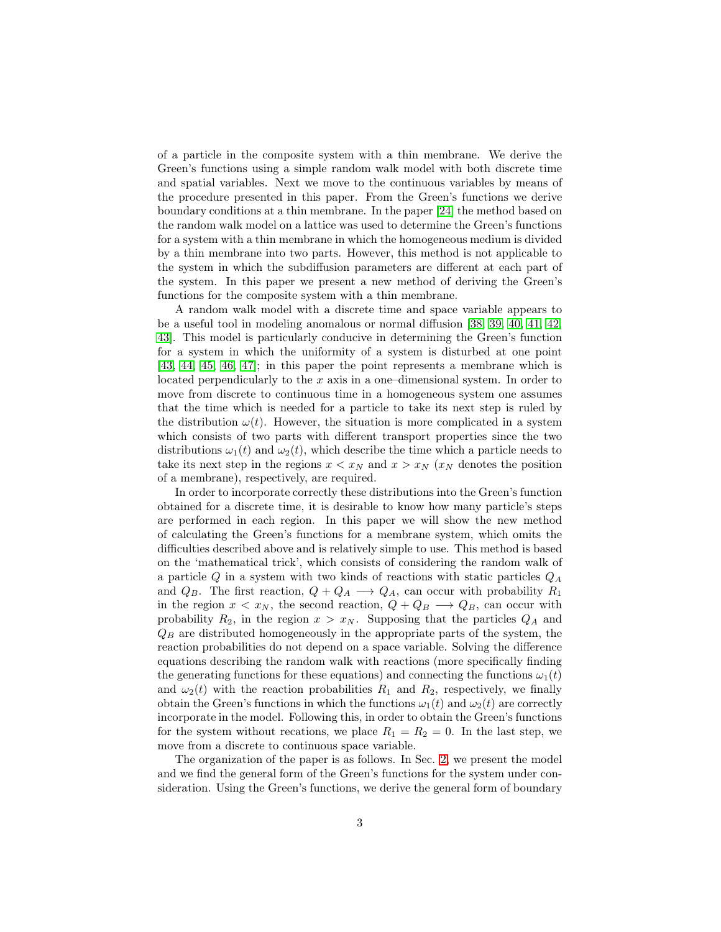of a particle in the composite system with a thin membrane. We derive the Green's functions using a simple random walk model with both discrete time and spatial variables. Next we move to the continuous variables by means of the procedure presented in this paper. From the Green's functions we derive boundary conditions at a thin membrane. In the paper [\[24\]](#page-24-13) the method based on the random walk model on a lattice was used to determine the Green's functions for a system with a thin membrane in which the homogeneous medium is divided by a thin membrane into two parts. However, this method is not applicable to the system in which the subdiffusion parameters are different at each part of the system. In this paper we present a new method of deriving the Green's functions for the composite system with a thin membrane.

A random walk model with a discrete time and space variable appears to be a useful tool in modeling anomalous or normal diffusion [\[38,](#page-25-11) [39,](#page-25-12) [40,](#page-25-13) [41,](#page-26-0) [42,](#page-26-1) [43\]](#page-26-2). This model is particularly conducive in determining the Green's function for a system in which the uniformity of a system is disturbed at one point [\[43,](#page-26-2) [44,](#page-26-3) [45,](#page-26-4) [46,](#page-26-5) [47\]](#page-26-6); in this paper the point represents a membrane which is located perpendicularly to the  $x$  axis in a one-dimensional system. In order to move from discrete to continuous time in a homogeneous system one assumes that the time which is needed for a particle to take its next step is ruled by the distribution  $\omega(t)$ . However, the situation is more complicated in a system which consists of two parts with different transport properties since the two distributions  $\omega_1(t)$  and  $\omega_2(t)$ , which describe the time which a particle needs to take its next step in the regions  $x < x_N$  and  $x > x_N$  ( $x_N$  denotes the position of a membrane), respectively, are required.

In order to incorporate correctly these distributions into the Green's function obtained for a discrete time, it is desirable to know how many particle's steps are performed in each region. In this paper we will show the new method of calculating the Green's functions for a membrane system, which omits the difficulties described above and is relatively simple to use. This method is based on the 'mathematical trick', which consists of considering the random walk of a particle  $Q$  in a system with two kinds of reactions with static particles  $Q_A$ and  $Q_B$ . The first reaction,  $Q + Q_A \longrightarrow Q_A$ , can occur with probability  $R_1$ in the region  $x < x_N$ , the second reaction,  $Q + Q_B \longrightarrow Q_B$ , can occur with probability  $R_2$ , in the region  $x > x_N$ . Supposing that the particles  $Q_A$  and  $Q_B$  are distributed homogeneously in the appropriate parts of the system, the reaction probabilities do not depend on a space variable. Solving the difference equations describing the random walk with reactions (more specifically finding the generating functions for these equations) and connecting the functions  $\omega_1(t)$ and  $\omega_2(t)$  with the reaction probabilities  $R_1$  and  $R_2$ , respectively, we finally obtain the Green's functions in which the functions  $\omega_1(t)$  and  $\omega_2(t)$  are correctly incorporate in the model. Following this, in order to obtain the Green's functions for the system without recations, we place  $R_1 = R_2 = 0$ . In the last step, we move from a discrete to continuous space variable.

The organization of the paper is as follows. In Sec. [2,](#page-3-0) we present the model and we find the general form of the Green's functions for the system under consideration. Using the Green's functions, we derive the general form of boundary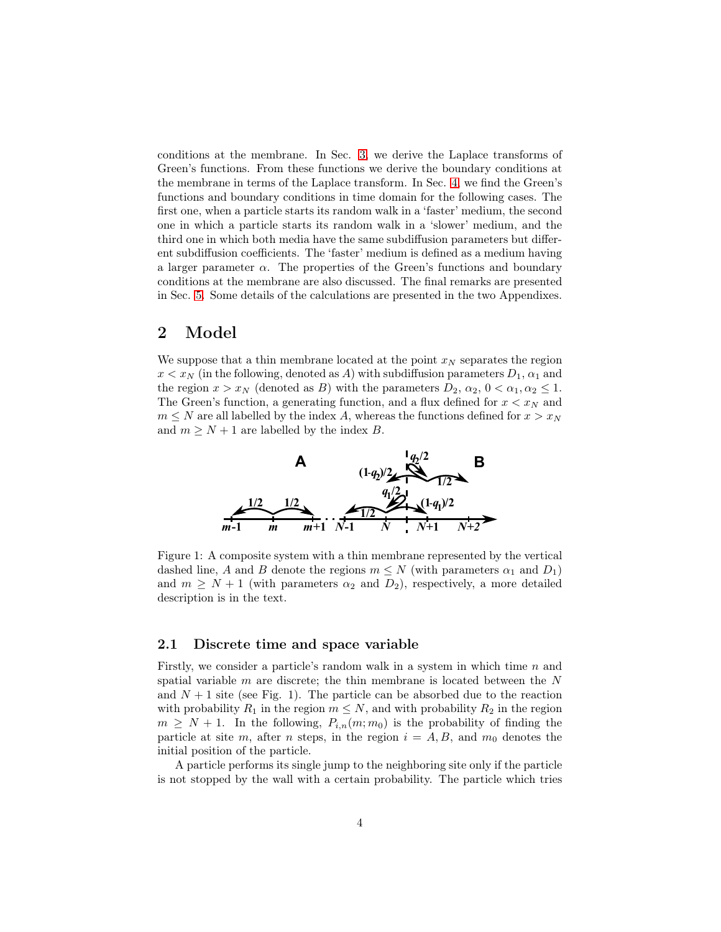conditions at the membrane. In Sec. [3,](#page-8-0) we derive the Laplace transforms of Green's functions. From these functions we derive the boundary conditions at the membrane in terms of the Laplace transform. In Sec. [4,](#page-9-0) we find the Green's functions and boundary conditions in time domain for the following cases. The first one, when a particle starts its random walk in a 'faster' medium, the second one in which a particle starts its random walk in a 'slower' medium, and the third one in which both media have the same subdiffusion parameters but different subdiffusion coefficients. The 'faster' medium is defined as a medium having a larger parameter  $\alpha$ . The properties of the Green's functions and boundary conditions at the membrane are also discussed. The final remarks are presented in Sec. [5.](#page-19-0) Some details of the calculations are presented in the two Appendixes.

## <span id="page-3-0"></span>2 Model

We suppose that a thin membrane located at the point  $x_N$  separates the region  $x < x_N$  (in the following, denoted as A) with subdiffusion parameters  $D_1$ ,  $\alpha_1$  and the region  $x > x_N$  (denoted as B) with the parameters  $D_2, \alpha_2, 0 < \alpha_1, \alpha_2 \leq 1$ . The Green's function, a generating function, and a flux defined for  $x < x<sub>N</sub>$  and  $m \leq N$  are all labelled by the index A, whereas the functions defined for  $x > x_N$ and  $m \geq N + 1$  are labelled by the index B.



Figure 1: A composite system with a thin membrane represented by the vertical dashed line, A and B denote the regions  $m \leq N$  (with parameters  $\alpha_1$  and  $D_1$ ) and  $m \geq N+1$  (with parameters  $\alpha_2$  and  $D_2$ ), respectively, a more detailed description is in the text.

#### 2.1 Discrete time and space variable

Firstly, we consider a particle's random walk in a system in which time n and spatial variable  $m$  are discrete; the thin membrane is located between the  $N$ and  $N + 1$  site (see Fig. 1). The particle can be absorbed due to the reaction with probability  $R_1$  in the region  $m \leq N$ , and with probability  $R_2$  in the region  $m \geq N + 1$ . In the following,  $P_{i,n}(m; m_0)$  is the probability of finding the particle at site m, after n steps, in the region  $i = A, B$ , and  $m_0$  denotes the initial position of the particle.

A particle performs its single jump to the neighboring site only if the particle is not stopped by the wall with a certain probability. The particle which tries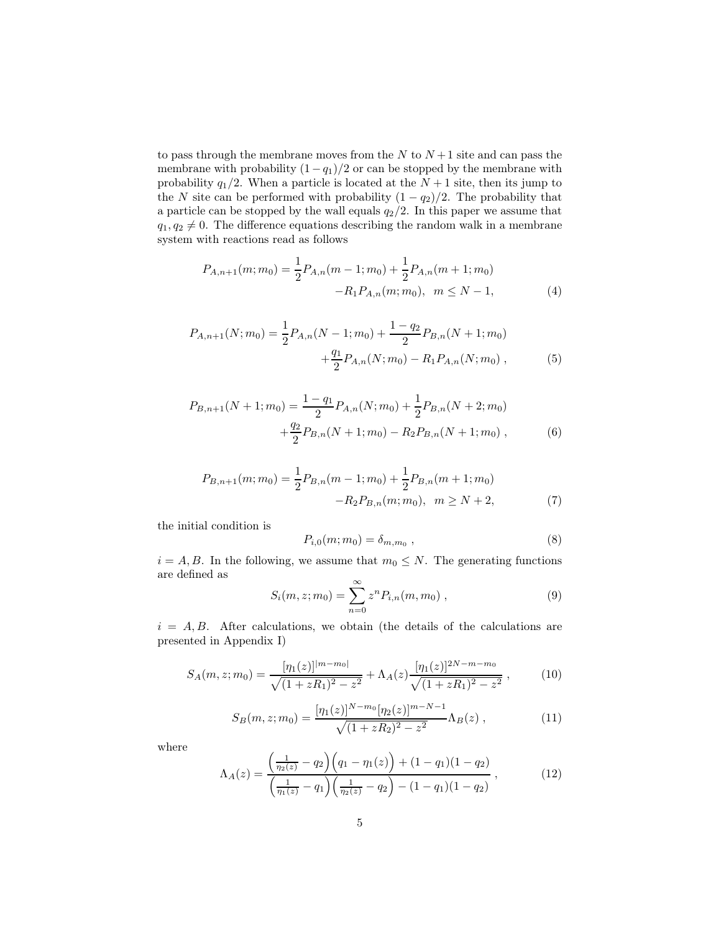to pass through the membrane moves from the  $N$  to  $N+1$  site and can pass the membrane with probability  $(1-q_1)/2$  or can be stopped by the membrane with probability  $q_1/2$ . When a particle is located at the  $N+1$  site, then its jump to the N site can be performed with probability  $(1 - q_2)/2$ . The probability that a particle can be stopped by the wall equals  $q_2/2$ . In this paper we assume that  $q_1, q_2 \neq 0$ . The difference equations describing the random walk in a membrane system with reactions read as follows

<span id="page-4-3"></span>
$$
P_{A,n+1}(m;m_0) = \frac{1}{2} P_{A,n}(m-1;m_0) + \frac{1}{2} P_{A,n}(m+1;m_0)
$$

$$
-R_1 P_{A,n}(m;m_0), \quad m \le N-1,
$$
 (4)

$$
P_{A,n+1}(N; m_0) = \frac{1}{2} P_{A,n}(N-1; m_0) + \frac{1-q_2}{2} P_{B,n}(N+1; m_0)
$$

$$
+ \frac{q_1}{2} P_{A,n}(N; m_0) - R_1 P_{A,n}(N; m_0) , \qquad (5)
$$

$$
P_{B,n+1}(N+1; m_0) = \frac{1 - q_1}{2} P_{A,n}(N; m_0) + \frac{1}{2} P_{B,n}(N+2; m_0)
$$

$$
+ \frac{q_2}{2} P_{B,n}(N+1; m_0) - R_2 P_{B,n}(N+1; m_0) ,\qquad (6)
$$

$$
P_{B,n+1}(m;m_0) = \frac{1}{2} P_{B,n}(m-1;m_0) + \frac{1}{2} P_{B,n}(m+1;m_0)
$$

$$
-R_2 P_{B,n}(m;m_0), \quad m \ge N+2,
$$
 (7)

the initial condition is

$$
P_{i,0}(m; m_0) = \delta_{m,m_0} \t{,} \t(8)
$$

 $i = A, B$ . In the following, we assume that  $m_0 \leq N$ . The generating functions are defined as

<span id="page-4-4"></span>
$$
S_i(m, z; m_0) = \sum_{n=0}^{\infty} z^n P_{i,n}(m, m_0) , \qquad (9)
$$

 $i = A, B$ . After calculations, we obtain (the details of the calculations are presented in Appendix I)

<span id="page-4-0"></span>
$$
S_A(m, z; m_0) = \frac{[\eta_1(z)]^{|m-m_0|}}{\sqrt{(1 + zR_1)^2 - z^2}} + \Lambda_A(z) \frac{[\eta_1(z)]^{2N-m-m_0}}{\sqrt{(1 + zR_1)^2 - z^2}} ,\qquad (10)
$$

<span id="page-4-2"></span>
$$
S_B(m, z; m_0) = \frac{[\eta_1(z)]^{N-m_0} [\eta_2(z)]^{m-N-1}}{\sqrt{(1 + zR_2)^2 - z^2}} \Lambda_B(z) ,
$$
 (11)

where

<span id="page-4-1"></span>
$$
\Lambda_A(z) = \frac{\left(\frac{1}{\eta_2(z)} - q_2\right)\left(q_1 - \eta_1(z)\right) + (1 - q_1)(1 - q_2)}{\left(\frac{1}{\eta_1(z)} - q_1\right)\left(\frac{1}{\eta_2(z)} - q_2\right) - (1 - q_1)(1 - q_2)},\tag{12}
$$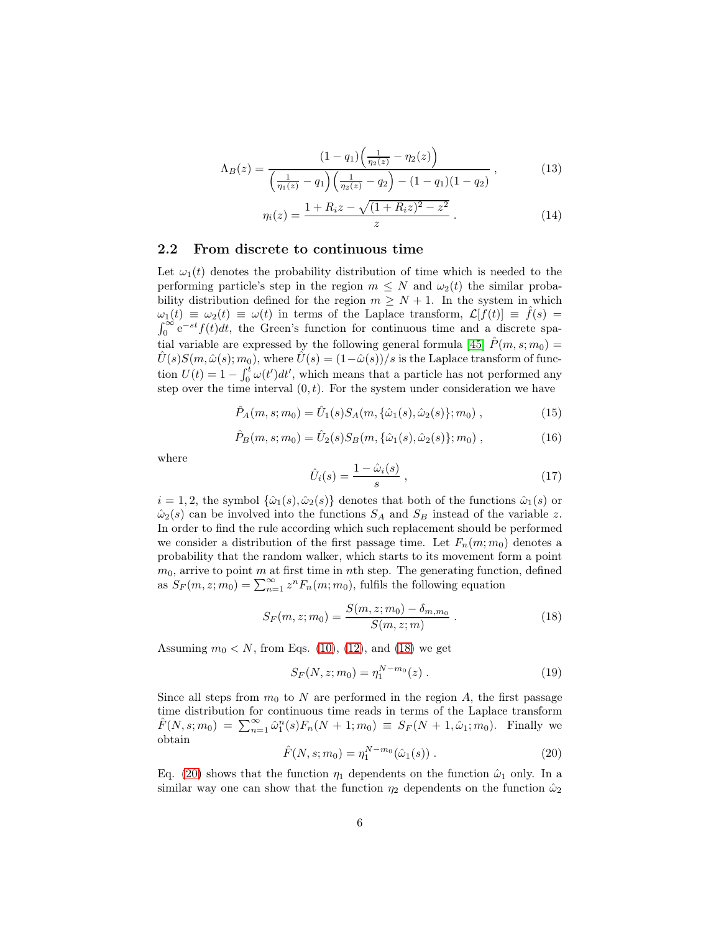$$
\Lambda_B(z) = \frac{(1 - q_1) \left(\frac{1}{\eta_2(z)} - \eta_2(z)\right)}{\left(\frac{1}{\eta_1(z)} - q_1\right) \left(\frac{1}{\eta_2(z)} - q_2\right) - (1 - q_1)(1 - q_2)},\tag{13}
$$

<span id="page-5-3"></span>
$$
\eta_i(z) = \frac{1 + R_i z - \sqrt{(1 + R_i z)^2 - z^2}}{z} \,. \tag{14}
$$

#### 2.2 From discrete to continuous time

Let  $\omega_1(t)$  denotes the probability distribution of time which is needed to the performing particle's step in the region  $m \leq N$  and  $\omega_2(t)$  the similar probability distribution defined for the region  $m \geq N + 1$ . In the system in which  $\omega_1(t) \equiv \omega_2(t) \equiv \omega(t)$  in terms of the Laplace transform,  $\mathcal{L}[f(t)] \equiv \tilde{f}(s)$  $\int_0^\infty e^{-st} f(t) dt$ , the Green's function for continuous time and a discrete spa-tial variable are expressed by the following general formula [\[45\]](#page-26-4)  $\hat{P}(m, s; m_0) =$  $U(s)S(m,\hat{\omega}(s);m_0)$ , where  $U(s)=(1-\hat{\omega}(s))/s$  is the Laplace transform of function  $U(t) = 1 - \int_0^t \omega(t')dt'$ , which means that a particle has not performed any step over the time interval  $(0, t)$ . For the system under consideration we have

$$
\hat{P}_A(m, s; m_0) = \hat{U}_1(s) S_A(m, \{\hat{\omega}_1(s), \hat{\omega}_2(s)\}; m_0) ,\qquad (15)
$$

<span id="page-5-2"></span>
$$
\hat{P}_B(m, s; m_0) = \hat{U}_2(s) S_B(m, \{\hat{\omega}_1(s), \hat{\omega}_2(s)\}; m_0) ,
$$
\n(16)

where

<span id="page-5-4"></span>
$$
\hat{U}_i(s) = \frac{1 - \hat{\omega}_i(s)}{s} \,,\tag{17}
$$

 $i = 1, 2$ , the symbol  $\{\hat{\omega}_1(s), \hat{\omega}_2(s)\}\$  denotes that both of the functions  $\hat{\omega}_1(s)$  or  $\hat{\omega}_2(s)$  can be involved into the functions  $S_A$  and  $S_B$  instead of the variable z. In order to find the rule according which such replacement should be performed we consider a distribution of the first passage time. Let  $F_n(m; m_0)$  denotes a probability that the random walker, which starts to its movement form a point  $m_0$ , arrive to point m at first time in nth step. The generating function, defined as  $S_F(m, z; m_0) = \sum_{n=1}^{\infty} z^n F_n(m; m_0)$ , fulfils the following equation

<span id="page-5-0"></span>
$$
S_F(m, z; m_0) = \frac{S(m, z; m_0) - \delta_{m, m_0}}{S(m, z; m)}.
$$
\n(18)

Assuming  $m_0 < N$ , from Eqs. [\(10\)](#page-4-0), [\(12\)](#page-4-1), and [\(18\)](#page-5-0) we get

$$
S_F(N, z; m_0) = \eta_1^{N - m_0}(z) . \tag{19}
$$

Since all steps from  $m_0$  to N are performed in the region A, the first passage time distribution for continuous time reads in terms of the Laplace transform  $\hat{F}(N, s; m_0) = \sum_{n=1}^{\infty} \hat{\omega}_1^n(s) F_n(N+1; m_0) \equiv S_F(N+1, \hat{\omega}_1; m_0)$ . Finally we obtain

<span id="page-5-1"></span>
$$
\hat{F}(N, s; m_0) = \eta_1^{N - m_0}(\hat{\omega}_1(s)) . \tag{20}
$$

Eq. [\(20\)](#page-5-1) shows that the function  $\eta_1$  dependents on the function  $\hat{\omega}_1$  only. In a similar way one can show that the function  $\eta_2$  dependents on the function  $\hat{\omega}_2$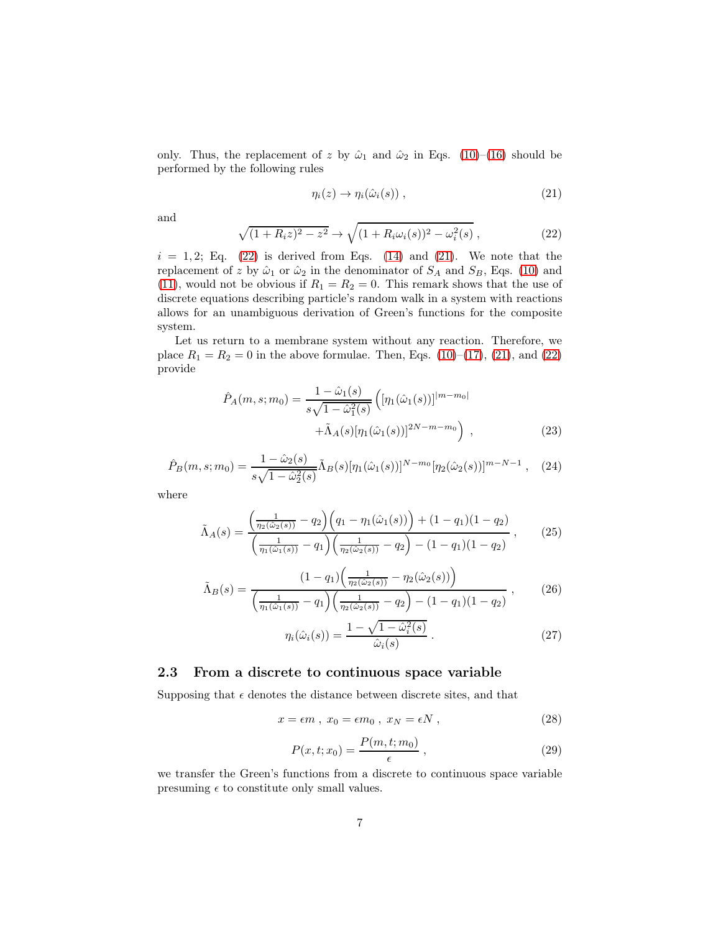only. Thus, the replacement of z by  $\hat{\omega}_1$  and  $\hat{\omega}_2$  in Eqs. [\(10\)](#page-4-0)–[\(16\)](#page-5-2) should be performed by the following rules

<span id="page-6-1"></span>
$$
\eta_i(z) \to \eta_i(\hat{\omega}_i(s)), \tag{21}
$$

and

<span id="page-6-0"></span>
$$
\sqrt{(1+R_iz)^2 - z^2} \to \sqrt{(1+R_i\omega_i(s))^2 - \omega_i^2(s)} ,
$$
 (22)

 $i = 1, 2$ ; Eq. [\(22\)](#page-6-0) is derived from Eqs. [\(14\)](#page-5-3) and [\(21\)](#page-6-1). We note that the replacement of z by  $\hat{\omega}_1$  or  $\hat{\omega}_2$  in the denominator of  $S_A$  and  $S_B$ , Eqs. [\(10\)](#page-4-0) and [\(11\)](#page-4-2), would not be obvious if  $R_1 = R_2 = 0$ . This remark shows that the use of discrete equations describing particle's random walk in a system with reactions allows for an unambiguous derivation of Green's functions for the composite system.

Let us return to a membrane system without any reaction. Therefore, we place  $R_1 = R_2 = 0$  in the above formulae. Then, Eqs. [\(10\)](#page-4-0)–[\(17\)](#page-5-4), [\(21\)](#page-6-1), and [\(22\)](#page-6-0) provide

<span id="page-6-2"></span>
$$
\hat{P}_A(m, s; m_0) = \frac{1 - \hat{\omega}_1(s)}{s\sqrt{1 - \hat{\omega}_1^2(s)}} \left( [\eta_1(\hat{\omega}_1(s))]^{|m - m_0|} + \tilde{\Lambda}_A(s) [\eta_1(\hat{\omega}_1(s))]^{2N - m - m_0} \right),
$$
\n(23)

<span id="page-6-3"></span>
$$
\hat{P}_B(m,s;m_0) = \frac{1 - \hat{\omega}_2(s)}{s\sqrt{1 - \hat{\omega}_2^2(s)}} \tilde{\Lambda}_B(s) [\eta_1(\hat{\omega}_1(s))]^{N - m_0} [\eta_2(\hat{\omega}_2(s))]^{m - N - 1}, \quad (24)
$$

where

<span id="page-6-7"></span>
$$
\tilde{\Lambda}_A(s) = \frac{\left(\frac{1}{\eta_2(\hat{\omega}_2(s))} - q_2\right)\left(q_1 - \eta_1(\hat{\omega}_1(s))\right) + (1 - q_1)(1 - q_2)}{\left(\frac{1}{\eta_1(\hat{\omega}_1(s))} - q_1\right)\left(\frac{1}{\eta_2(\hat{\omega}_2(s))} - q_2\right) - (1 - q_1)(1 - q_2)},\tag{25}
$$

<span id="page-6-8"></span>
$$
\tilde{\Lambda}_B(s) = \frac{(1 - q_1) \left( \frac{1}{\eta_2(\hat{\omega}_2(s))} - \eta_2(\hat{\omega}_2(s)) \right)}{\left( \frac{1}{\eta_1(\hat{\omega}_1(s))} - q_1 \right) \left( \frac{1}{\eta_2(\hat{\omega}_2(s))} - q_2 \right) - (1 - q_1)(1 - q_2)},\tag{26}
$$

<span id="page-6-4"></span>
$$
\eta_i(\hat{\omega}_i(s)) = \frac{1 - \sqrt{1 - \hat{\omega}_i^2(s)}}{\hat{\omega}_i(s)}.
$$
\n(27)

#### 2.3 From a discrete to continuous space variable

Supposing that  $\epsilon$  denotes the distance between discrete sites, and that

<span id="page-6-5"></span>
$$
x = \epsilon m , x_0 = \epsilon m_0 , x_N = \epsilon N , \qquad (28)
$$

<span id="page-6-6"></span>
$$
P(x,t;x_0) = \frac{P(m,t;m_0)}{\epsilon} ,
$$
\n(29)

we transfer the Green's functions from a discrete to continuous space variable presuming  $\epsilon$  to constitute only small values.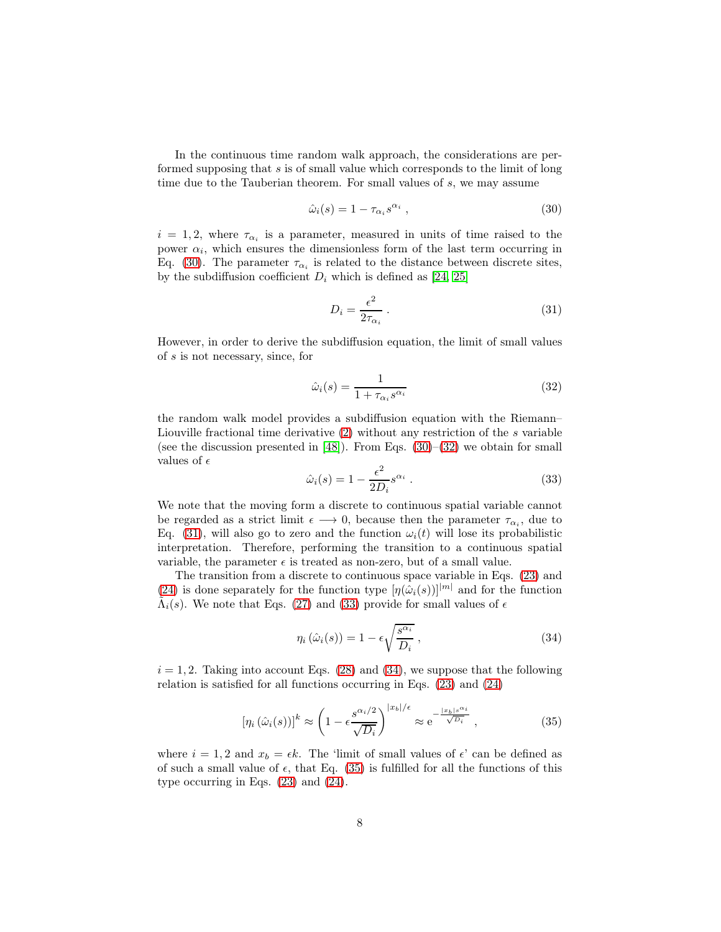In the continuous time random walk approach, the considerations are performed supposing that s is of small value which corresponds to the limit of long time due to the Tauberian theorem. For small values of s, we may assume

<span id="page-7-0"></span>
$$
\hat{\omega}_i(s) = 1 - \tau_{\alpha_i} s^{\alpha_i} \tag{30}
$$

 $i = 1, 2$ , where  $\tau_{\alpha_i}$  is a parameter, measured in units of time raised to the power  $\alpha_i$ , which ensures the dimensionless form of the last term occurring in Eq. [\(30\)](#page-7-0). The parameter  $\tau_{\alpha_i}$  is related to the distance between discrete sites, by the subdiffusion coefficient  $D_i$  which is defined as [\[24,](#page-24-13) [25\]](#page-24-14)

<span id="page-7-2"></span>
$$
D_i = \frac{\epsilon^2}{2\tau_{\alpha_i}}\,. \tag{31}
$$

However, in order to derive the subdiffusion equation, the limit of small values of s is not necessary, since, for

<span id="page-7-1"></span>
$$
\hat{\omega}_i(s) = \frac{1}{1 + \tau_{\alpha_i} s^{\alpha_i}}\tag{32}
$$

the random walk model provides a subdiffusion equation with the Riemann– Liouville fractional time derivative [\(2\)](#page-1-0) without any restriction of the s variable (see the discussion presented in  $[48]$ ). From Eqs.  $(30)$ – $(32)$  we obtain for small values of  $\epsilon$ 

<span id="page-7-3"></span>
$$
\hat{\omega}_i(s) = 1 - \frac{\epsilon^2}{2D_i} s^{\alpha_i} . \tag{33}
$$

We note that the moving form a discrete to continuous spatial variable cannot be regarded as a strict limit  $\epsilon \longrightarrow 0$ , because then the parameter  $\tau_{\alpha_i}$ , due to Eq. [\(31\)](#page-7-2), will also go to zero and the function  $\omega_i(t)$  will lose its probabilistic interpretation. Therefore, performing the transition to a continuous spatial variable, the parameter  $\epsilon$  is treated as non-zero, but of a small value.

The transition from a discrete to continuous space variable in Eqs. [\(23\)](#page-6-2) and [\(24\)](#page-6-3) is done separately for the function type  $[\eta(\hat{\omega}_i(s))]^{|m|}$  and for the function  $\tilde{\Lambda}_i(s)$ . We note that Eqs. [\(27\)](#page-6-4) and [\(33\)](#page-7-3) provide for small values of  $\epsilon$ 

<span id="page-7-4"></span>
$$
\eta_i\left(\hat{\omega}_i(s)\right) = 1 - \epsilon \sqrt{\frac{s^{\alpha_i}}{D_i}},\tag{34}
$$

 $i = 1, 2$ . Taking into account Eqs. [\(28\)](#page-6-5) and [\(34\)](#page-7-4), we suppose that the following relation is satisfied for all functions occurring in Eqs. [\(23\)](#page-6-2) and [\(24\)](#page-6-3)

<span id="page-7-5"></span>
$$
\left[\eta_i\left(\hat{\omega}_i(s)\right)\right]^k \approx \left(1 - \epsilon \frac{s^{\alpha_i/2}}{\sqrt{D_i}}\right)^{|x_b|/\epsilon} \approx e^{-\frac{|x_b| s^{\alpha_i}}{\sqrt{D_i}}},\tag{35}
$$

where  $i = 1, 2$  and  $x_b = \epsilon k$ . The 'limit of small values of  $\epsilon$ ' can be defined as of such a small value of  $\epsilon$ , that Eq. [\(35\)](#page-7-5) is fulfilled for all the functions of this type occurring in Eqs. [\(23\)](#page-6-2) and [\(24\)](#page-6-3).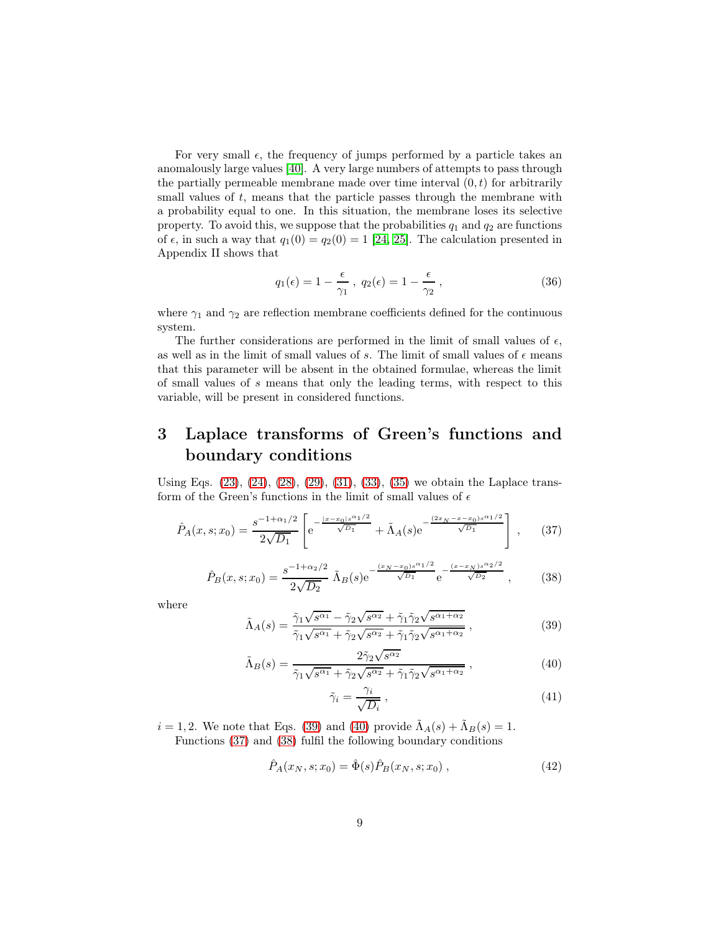For very small  $\epsilon$ , the frequency of jumps performed by a particle takes an anomalously large values [\[40\]](#page-25-13). A very large numbers of attempts to pass through the partially permeable membrane made over time interval  $(0, t)$  for arbitrarily small values of  $t$ , means that the particle passes through the membrane with a probability equal to one. In this situation, the membrane loses its selective property. To avoid this, we suppose that the probabilities  $q_1$  and  $q_2$  are functions of  $\epsilon$ , in such a way that  $q_1(0) = q_2(0) = 1$  [\[24,](#page-24-13) [25\]](#page-24-14). The calculation presented in Appendix II shows that

$$
q_1(\epsilon) = 1 - \frac{\epsilon}{\gamma_1}, \ q_2(\epsilon) = 1 - \frac{\epsilon}{\gamma_2}, \tag{36}
$$

where  $\gamma_1$  and  $\gamma_2$  are reflection membrane coefficients defined for the continuous system.

The further considerations are performed in the limit of small values of  $\epsilon$ , as well as in the limit of small values of s. The limit of small values of  $\epsilon$  means that this parameter will be absent in the obtained formulae, whereas the limit of small values of s means that only the leading terms, with respect to this variable, will be present in considered functions.

## <span id="page-8-0"></span>3 Laplace transforms of Green's functions and boundary conditions

Using Eqs. [\(23\)](#page-6-2), [\(24\)](#page-6-3), [\(28\)](#page-6-5), [\(29\)](#page-6-6), [\(31\)](#page-7-2), [\(33\)](#page-7-3), [\(35\)](#page-7-5) we obtain the Laplace transform of the Green's functions in the limit of small values of  $\epsilon$ 

<span id="page-8-3"></span>
$$
\hat{P}_A(x,s;x_0) = \frac{s^{-1+\alpha_1/2}}{2\sqrt{D_1}} \left[ e^{-\frac{|x-x_0|s^{\alpha_1/2}}{\sqrt{D_1}}} + \tilde{\Lambda}_A(s) e^{-\frac{(2x_N - x - x_0)s^{\alpha_1/2}}{\sqrt{D_1}}} \right],\qquad(37)
$$

<span id="page-8-4"></span>
$$
\hat{P}_B(x,s;x_0) = \frac{s^{-1+\alpha_2/2}}{2\sqrt{D_2}} \tilde{\Lambda}_B(s) e^{-\frac{(x_N-x_0)s^{\alpha_1/2}}{\sqrt{D_1}}} e^{-\frac{(x-x_N)s^{\alpha_2/2}}{\sqrt{D_2}}}, \qquad (38)
$$

where

<span id="page-8-1"></span>
$$
\tilde{\Lambda}_A(s) = \frac{\tilde{\gamma}_1 \sqrt{s^{\alpha_1}} - \tilde{\gamma}_2 \sqrt{s^{\alpha_2}} + \tilde{\gamma}_1 \tilde{\gamma}_2 \sqrt{s^{\alpha_1 + \alpha_2}}}{\tilde{\gamma}_1 \sqrt{s^{\alpha_1}} + \tilde{\gamma}_2 \sqrt{s^{\alpha_2}} + \tilde{\gamma}_1 \tilde{\gamma}_2 \sqrt{s^{\alpha_1 + \alpha_2}}},
$$
\n(39)

<span id="page-8-2"></span>
$$
\tilde{\Lambda}_B(s) = \frac{2\tilde{\gamma}_2\sqrt{s^{\alpha_2}}}{\tilde{\gamma}_1\sqrt{s^{\alpha_1}} + \tilde{\gamma}_2\sqrt{s^{\alpha_2}} + \tilde{\gamma}_1\tilde{\gamma}_2\sqrt{s^{\alpha_1+\alpha_2}}},\tag{40}
$$

$$
\tilde{\gamma}_i = \frac{\gamma_i}{\sqrt{D_i}} \,,\tag{41}
$$

 $i = 1, 2$ . We note that Eqs. [\(39\)](#page-8-1) and [\(40\)](#page-8-2) provide  $\tilde{\Lambda}_A(s) + \tilde{\Lambda}_B(s) = 1$ . Functions [\(37\)](#page-8-3) and [\(38\)](#page-8-4) fulfil the following boundary conditions

<span id="page-8-5"></span>
$$
\hat{P}_A(x_N, s; x_0) = \hat{\Phi}(s)\hat{P}_B(x_N, s; x_0) ,
$$
\n(42)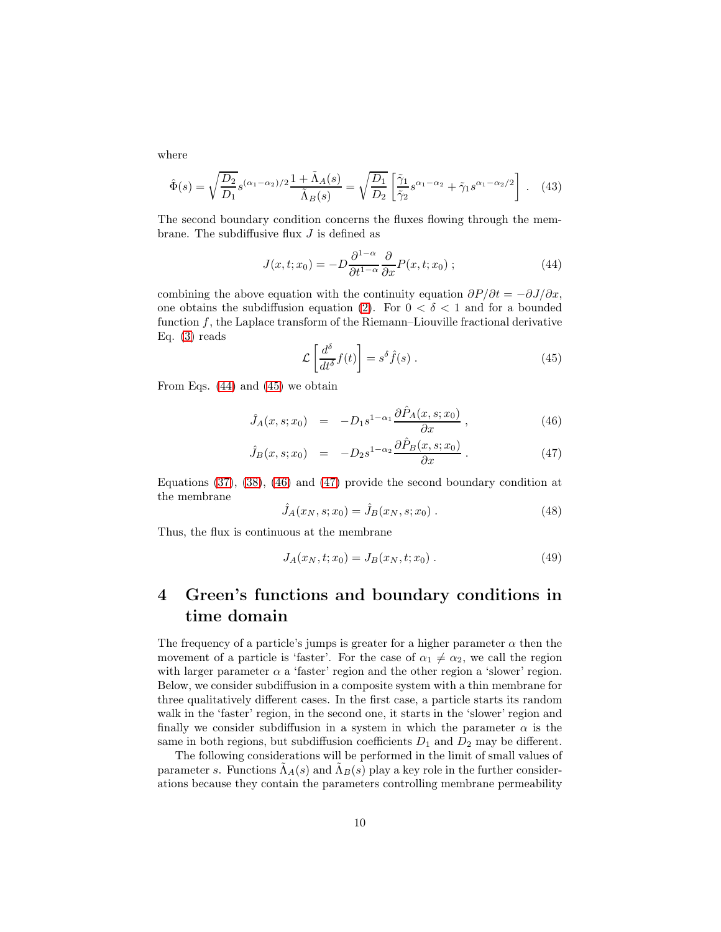where

$$
\hat{\Phi}(s) = \sqrt{\frac{D_2}{D_1}} s^{(\alpha_1 - \alpha_2)/2} \frac{1 + \tilde{\Lambda}_A(s)}{\tilde{\Lambda}_B(s)} = \sqrt{\frac{D_1}{D_2}} \left[ \frac{\tilde{\gamma}_1}{\tilde{\gamma}_2} s^{\alpha_1 - \alpha_2} + \tilde{\gamma}_1 s^{\alpha_1 - \alpha_2/2} \right]. \tag{43}
$$

The second boundary condition concerns the fluxes flowing through the membrane. The subdiffusive flux J is defined as

<span id="page-9-1"></span>
$$
J(x,t;x_0) = -D \frac{\partial^{1-\alpha}}{\partial t^{1-\alpha}} \frac{\partial}{\partial x} P(x,t;x_0) ; \qquad (44)
$$

combining the above equation with the continuity equation  $\partial P/\partial t = -\partial J/\partial x$ , one obtains the subdiffusion equation [\(2\)](#page-1-0). For  $0 < \delta < 1$  and for a bounded function  $f$ , the Laplace transform of the Riemann–Liouville fractional derivative Eq. [\(3\)](#page-1-1) reads

<span id="page-9-2"></span>
$$
\mathcal{L}\left[\frac{d^{\delta}}{dt^{\delta}}f(t)\right] = s^{\delta}\hat{f}(s) . \tag{45}
$$

From Eqs. [\(44\)](#page-9-1) and [\(45\)](#page-9-2) we obtain

<span id="page-9-3"></span>
$$
\hat{J}_A(x,s;x_0) = -D_1s^{1-\alpha_1}\frac{\partial \hat{P}_A(x,s;x_0)}{\partial x}, \qquad (46)
$$

$$
\hat{J}_B(x,s;x_0) = -D_2 s^{1-\alpha_2} \frac{\partial \hat{P}_B(x,s;x_0)}{\partial x} . \tag{47}
$$

Equations [\(37\)](#page-8-3), [\(38\)](#page-8-4), [\(46\)](#page-9-3) and [\(47\)](#page-9-3) provide the second boundary condition at the membrane

<span id="page-9-4"></span>
$$
\hat{J}_A(x_N, s; x_0) = \hat{J}_B(x_N, s; x_0) . \tag{48}
$$

Thus, the flux is continuous at the membrane

$$
J_A(x_N, t; x_0) = J_B(x_N, t; x_0).
$$
 (49)

## <span id="page-9-0"></span>4 Green's functions and boundary conditions in time domain

The frequency of a particle's jumps is greater for a higher parameter  $\alpha$  then the movement of a particle is 'faster'. For the case of  $\alpha_1 \neq \alpha_2$ , we call the region with larger parameter  $\alpha$  a 'faster' region and the other region a 'slower' region. Below, we consider subdiffusion in a composite system with a thin membrane for three qualitatively different cases. In the first case, a particle starts its random walk in the 'faster' region, in the second one, it starts in the 'slower' region and finally we consider subdiffusion in a system in which the parameter  $\alpha$  is the same in both regions, but subdiffusion coefficients  $D_1$  and  $D_2$  may be different.

The following considerations will be performed in the limit of small values of parameter s. Functions  $\Lambda_A(s)$  and  $\Lambda_B(s)$  play a key role in the further considerations because they contain the parameters controlling membrane permeability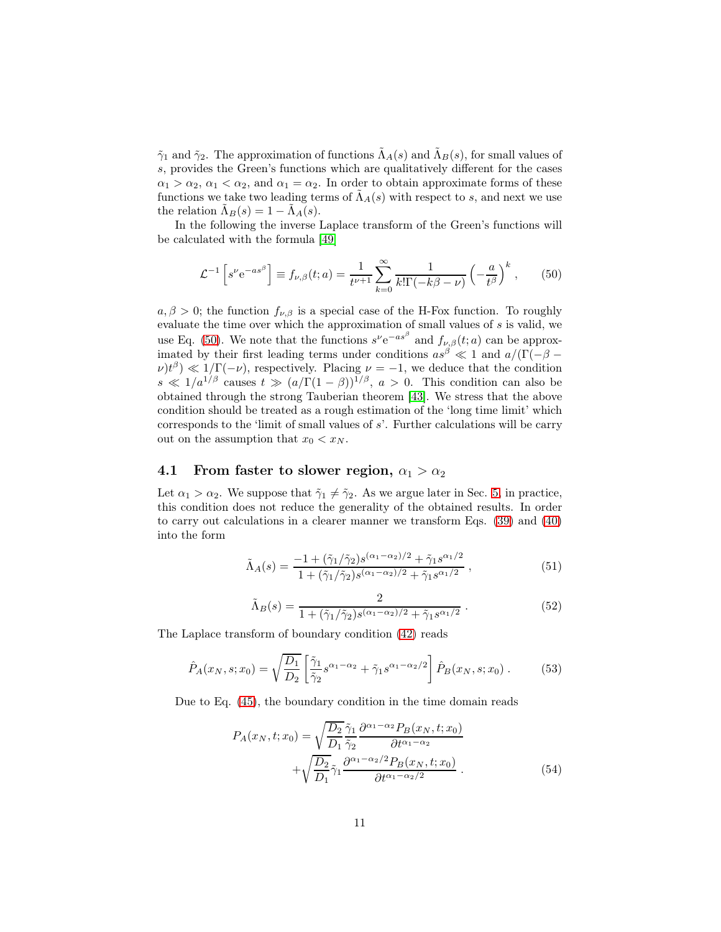$\tilde{\gamma}_1$  and  $\tilde{\gamma}_2$ . The approximation of functions  $\tilde{\Lambda}_A(s)$  and  $\tilde{\Lambda}_B(s)$ , for small values of s, provides the Green's functions which are qualitatively different for the cases  $\alpha_1 > \alpha_2$ ,  $\alpha_1 < \alpha_2$ , and  $\alpha_1 = \alpha_2$ . In order to obtain approximate forms of these functions we take two leading terms of  $\Lambda_A(s)$  with respect to s, and next we use the relation  $\Lambda_B(s) = 1 - \Lambda_A(s)$ .

In the following the inverse Laplace transform of the Green's functions will be calculated with the formula [\[49\]](#page-26-8)

<span id="page-10-0"></span>
$$
\mathcal{L}^{-1}\left[s^{\nu}e^{-as^{\beta}}\right] \equiv f_{\nu,\beta}(t;a) = \frac{1}{t^{\nu+1}}\sum_{k=0}^{\infty}\frac{1}{k!\Gamma(-k\beta-\nu)}\left(-\frac{a}{t^{\beta}}\right)^{k},\qquad(50)
$$

 $a, \beta > 0$ ; the function  $f_{\nu,\beta}$  is a special case of the H-Fox function. To roughly evaluate the time over which the approximation of small values of s is valid, we use Eq. [\(50\)](#page-10-0). We note that the functions  $s^{\nu}e^{-as^{\beta}}$  and  $f_{\nu,\beta}(t; a)$  can be approximated by their first leading terms under conditions  $as^{\beta} \ll 1$  and  $a/(\Gamma(-\beta - \frac{1}{\beta})$  $(\nu) t^{\beta}) \ll 1/\Gamma(-\nu)$ , respectively. Placing  $\nu = -1$ , we deduce that the condition  $s \ll 1/a^{1/\beta}$  causes  $t \gg (a/\Gamma(1-\beta))^{1/\beta}, a > 0$ . This condition can also be obtained through the strong Tauberian theorem [\[43\]](#page-26-2). We stress that the above condition should be treated as a rough estimation of the 'long time limit' which corresponds to the 'limit of small values of s'. Further calculations will be carry out on the assumption that  $x_0 < x_N$ .

#### 4.1 From faster to slower region,  $\alpha_1 > \alpha_2$

Let  $\alpha_1 > \alpha_2$ . We suppose that  $\tilde{\gamma}_1 \neq \tilde{\gamma}_2$ . As we argue later in Sec. [5,](#page-19-0) in practice, this condition does not reduce the generality of the obtained results. In order to carry out calculations in a clearer manner we transform Eqs. [\(39\)](#page-8-1) and [\(40\)](#page-8-2) into the form

<span id="page-10-2"></span>
$$
\tilde{\Lambda}_A(s) = \frac{-1 + (\tilde{\gamma}_1/\tilde{\gamma}_2)s^{(\alpha_1 - \alpha_2)/2} + \tilde{\gamma}_1 s^{\alpha_1/2}}{1 + (\tilde{\gamma}_1/\tilde{\gamma}_2)s^{(\alpha_1 - \alpha_2)/2} + \tilde{\gamma}_1 s^{\alpha_1/2}},
$$
\n(51)

<span id="page-10-3"></span>
$$
\tilde{\Lambda}_B(s) = \frac{2}{1 + (\tilde{\gamma}_1/\tilde{\gamma}_2)s^{(\alpha_1 - \alpha_2)/2} + \tilde{\gamma}_1 s^{\alpha_1/2}}.
$$
\n(52)

The Laplace transform of boundary condition [\(42\)](#page-8-5) reads

<span id="page-10-1"></span>
$$
\hat{P}_A(x_N, s; x_0) = \sqrt{\frac{D_1}{D_2}} \left[ \frac{\tilde{\gamma}_1}{\tilde{\gamma}_2} s^{\alpha_1 - \alpha_2} + \tilde{\gamma}_1 s^{\alpha_1 - \alpha_2/2} \right] \hat{P}_B(x_N, s; x_0) \,. \tag{53}
$$

Due to Eq. [\(45\)](#page-9-2), the boundary condition in the time domain reads

<span id="page-10-4"></span>
$$
P_A(x_N, t; x_0) = \sqrt{\frac{D_2}{D_1}} \frac{\tilde{\gamma}_1}{\tilde{\gamma}_2} \frac{\partial^{\alpha_1 - \alpha_2} P_B(x_N, t; x_0)}{\partial t^{\alpha_1 - \alpha_2}} + \sqrt{\frac{D_2}{D_1}} \tilde{\gamma}_1 \frac{\partial^{\alpha_1 - \alpha_2/2} P_B(x_N, t; x_0)}{\partial t^{\alpha_1 - \alpha_2/2}}.
$$
(54)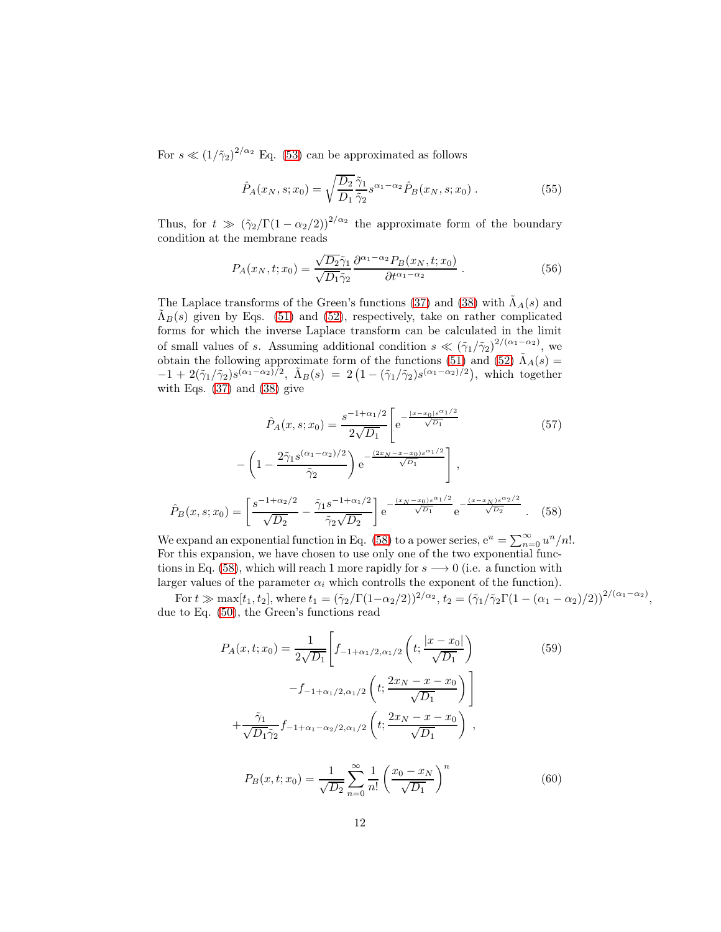For  $s \ll (1/\tilde{\gamma}_2)^{2/\alpha_2}$  Eq. [\(53\)](#page-10-1) can be approximated as follows

$$
\hat{P}_A(x_N, s; x_0) = \sqrt{\frac{D_2}{D_1}} \frac{\tilde{\gamma}_1}{\tilde{\gamma}_2} s^{\alpha_1 - \alpha_2} \hat{P}_B(x_N, s; x_0) \,. \tag{55}
$$

Thus, for  $t \gg (\tilde{\gamma}_2/\Gamma(1-\alpha_2/2))^{2/\alpha_2}$  the approximate form of the boundary condition at the membrane reads

<span id="page-11-4"></span>
$$
P_A(x_N, t; x_0) = \frac{\sqrt{D_2}\tilde{\gamma}_1}{\sqrt{D_1}\tilde{\gamma}_2} \frac{\partial^{\alpha_1 - \alpha_2} P_B(x_N, t; x_0)}{\partial t^{\alpha_1 - \alpha_2}}.
$$
\n
$$
(56)
$$

The Laplace transforms of the Green's functions [\(37\)](#page-8-3) and [\(38\)](#page-8-4) with  $\tilde{\Lambda}_A(s)$  and  $\tilde{\Lambda}_B(s)$  given by Eqs. [\(51\)](#page-10-2) and [\(52\)](#page-10-3), respectively, take on rather complicated forms for which the inverse Laplace transform can be calculated in the limit of small values of s. Assuming additional condition  $s \ll (\tilde{\gamma}_1/\tilde{\gamma}_2)^{2/(\alpha_1-\alpha_2)}$ , we obtain the following approximate form of the functions [\(51\)](#page-10-2) and [\(52\)](#page-10-3)  $\tilde{\Lambda}_A(s)$  =  $-1+2(\tilde{\gamma}_1/\tilde{\gamma}_2)s^{(\alpha_1-\alpha_2)/2}, \tilde{\Lambda}_B(s) = 2(1-(\tilde{\gamma}_1/\tilde{\gamma}_2)s^{(\alpha_1-\alpha_2)/2}),$  which together with Eqs. [\(37\)](#page-8-3) and [\(38\)](#page-8-4) give

<span id="page-11-3"></span>
$$
\hat{P}_A(x,s;x_0) = \frac{s^{-1+\alpha_1/2}}{2\sqrt{D_1}} \left[ e^{-\frac{|x-x_0|s^{\alpha_1/2}}{\sqrt{D_1}}} \right]
$$
(57)  

$$
-\left(1 - \frac{2\tilde{\gamma}_1 s^{(\alpha_1 - \alpha_2)/2}}{\tilde{\gamma}_2}\right) e^{-\frac{(2x_N - x - x_0)s^{\alpha_1/2}}{\sqrt{D_1}}}\right],
$$

$$
\hat{P}_B(x,s;x_0) = \left[\frac{s^{-1+\alpha_2/2}}{\sqrt{D_2}} - \frac{\tilde{\gamma}_1 s^{-1+\alpha_1/2}}{\tilde{\gamma}_2 \sqrt{D_2}}\right] e^{-\frac{(x_N - x_0)s^{\alpha_1/2}}{\sqrt{D_1}}} e^{-\frac{(x-x_N)s^{\alpha_2/2}}{\sqrt{D_2}}}.
$$
(58)

<span id="page-11-0"></span>We expand an exponential function in Eq. [\(58\)](#page-11-0) to a power series,  $e^u = \sum_{n=0}^{\infty} u^n/n!$ . For this expansion, we have chosen to use only one of the two exponential func-tions in Eq. [\(58\)](#page-11-0), which will reach 1 more rapidly for  $s \rightarrow 0$  (i.e. a function with larger values of the parameter  $\alpha_i$  which controlls the exponent of the function).

For  $t \gg \max[t_1, t_2]$ , where  $t_1 = (\tilde{\gamma}_2/\Gamma(1-\alpha_2/2))^{2/\alpha_2}$ ,  $t_2 = (\tilde{\gamma}_1/\tilde{\gamma}_2\Gamma(1-(\alpha_1-\alpha_2)/2))^{2/(\alpha_1-\alpha_2)}$ , due to Eq. [\(50\)](#page-10-0), the Green's functions read

<span id="page-11-2"></span><span id="page-11-1"></span>
$$
P_A(x, t; x_0) = \frac{1}{2\sqrt{D_1}} \left[ f_{-1+\alpha_1/2, \alpha_1/2} \left( t; \frac{|x - x_0|}{\sqrt{D_1}} \right) \right]
$$
(59)  

$$
-f_{-1+\alpha_1/2, \alpha_1/2} \left( t; \frac{2x_N - x - x_0}{\sqrt{D_1}} \right) \right]
$$
  

$$
+ \frac{\tilde{\gamma}_1}{\sqrt{D_1 \tilde{\gamma}_2}} f_{-1+\alpha_1-\alpha_2/2, \alpha_1/2} \left( t; \frac{2x_N - x - x_0}{\sqrt{D_1}} \right),
$$
  

$$
P_B(x, t; x_0) = \frac{1}{\sqrt{D_2}} \sum_{n=0}^{\infty} \frac{1}{n!} \left( \frac{x_0 - x_N}{\sqrt{D_1}} \right)^n
$$
(60)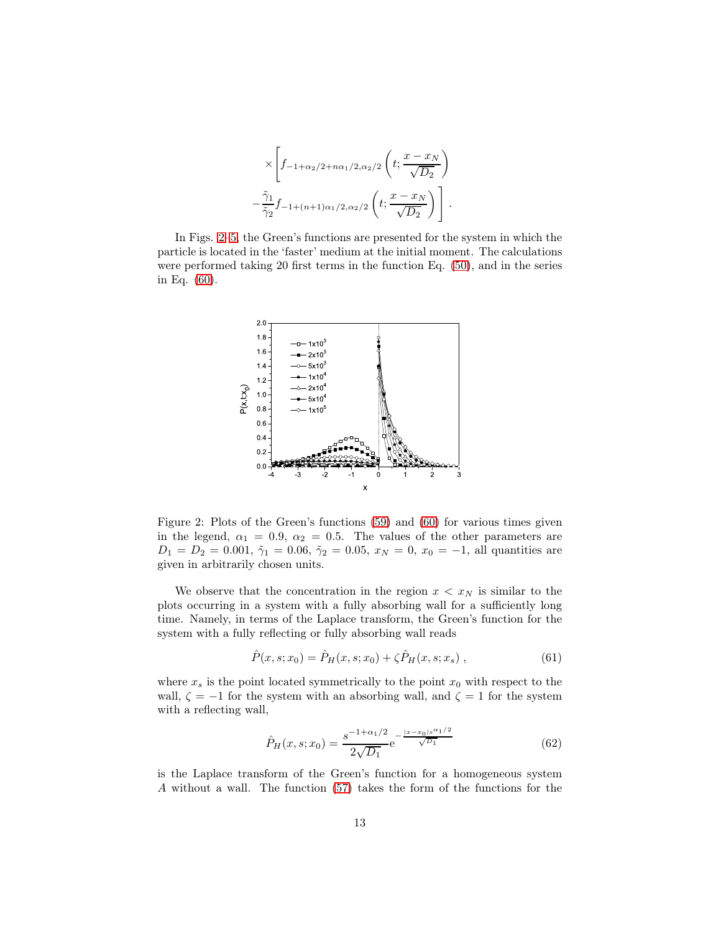$$
\times \left[ f_{-1+\alpha_2/2+n\alpha_1/2,\alpha_2/2} \left( t; \frac{x - x_N}{\sqrt{D_2}} \right) - \frac{\tilde{\gamma}_1}{\tilde{\gamma}_2} f_{-1+(n+1)\alpha_1/2,\alpha_2/2} \left( t; \frac{x - x_N}{\sqrt{D_2}} \right) \right].
$$

In Figs. [2–](#page-12-0)[5,](#page-14-0) the Green's functions are presented for the system in which the particle is located in the 'faster' medium at the initial moment. The calculations were performed taking 20 first terms in the function Eq. [\(50\)](#page-10-0), and in the series in Eq. [\(60\)](#page-11-1).



<span id="page-12-0"></span>Figure 2: Plots of the Green's functions [\(59\)](#page-11-2) and [\(60\)](#page-11-1) for various times given in the legend,  $\alpha_1 = 0.9$ ,  $\alpha_2 = 0.5$ . The values of the other parameters are  $D_1 = D_2 = 0.001, \tilde{\gamma}_1 = 0.06, \tilde{\gamma}_2 = 0.05, x_N = 0, x_0 = -1$ , all quantities are given in arbitrarily chosen units.

We observe that the concentration in the region  $x < x<sub>N</sub>$  is similar to the plots occurring in a system with a fully absorbing wall for a sufficiently long time. Namely, in terms of the Laplace transform, the Green's function for the system with a fully reflecting or fully absorbing wall reads

$$
\hat{P}(x, s; x_0) = \hat{P}_H(x, s; x_0) + \zeta \hat{P}_H(x, s; x_s) ,
$$
\n(61)

where  $x_s$  is the point located symmetrically to the point  $x_0$  with respect to the wall,  $\zeta = -1$  for the system with an absorbing wall, and  $\zeta = 1$  for the system with a reflecting wall,

$$
\hat{P}_H(x,s;x_0) = \frac{s^{-1+\alpha_1/2}}{2\sqrt{D_1}} e^{-\frac{|x-x_0|s^{\alpha_1/2}}{\sqrt{D_1}}}
$$
(62)

is the Laplace transform of the Green's function for a homogeneous system A without a wall. The function [\(57\)](#page-11-3) takes the form of the functions for the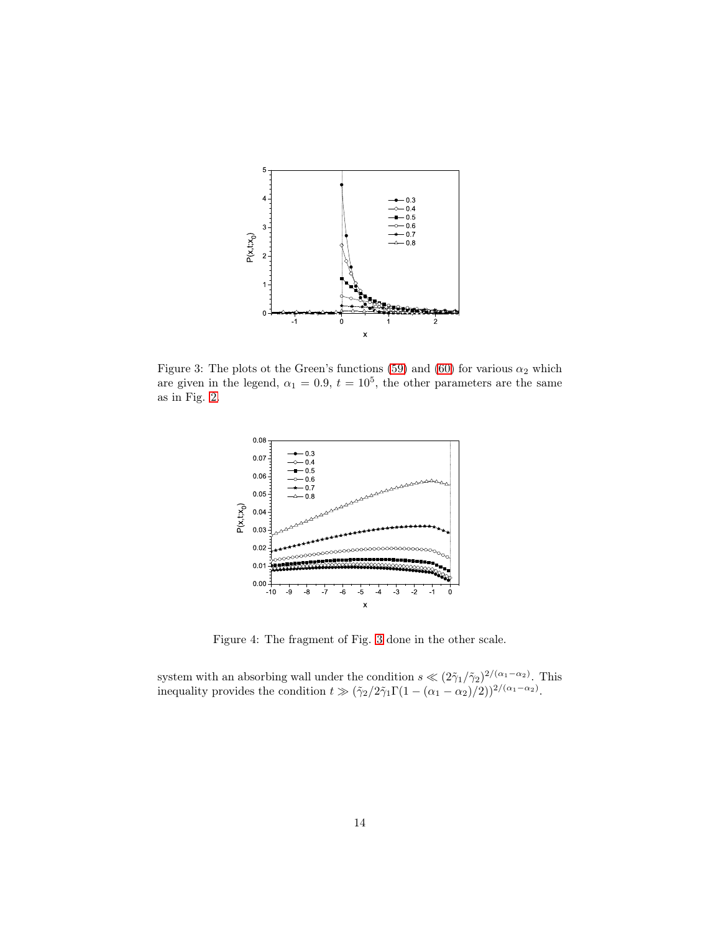

<span id="page-13-0"></span>Figure 3: The plots ot the Green's functions [\(59\)](#page-11-2) and [\(60\)](#page-11-1) for various  $\alpha_2$  which are given in the legend,  $\alpha_1 = 0.9$ ,  $t = 10^5$ , the other parameters are the same as in Fig. [2.](#page-12-0)



Figure 4: The fragment of Fig. [3](#page-13-0) done in the other scale.

system with an absorbing wall under the condition  $s \ll (2\tilde{\gamma}_1/\tilde{\gamma}_2)^{2/(\alpha_1-\alpha_2)}$ . This inequality provides the condition  $t \gg (\tilde{\gamma}_2/2\tilde{\gamma}_1 \Gamma(1 - (\alpha_1 - \alpha_2)/2))^{2/(\alpha_1 - \alpha_2)}$ .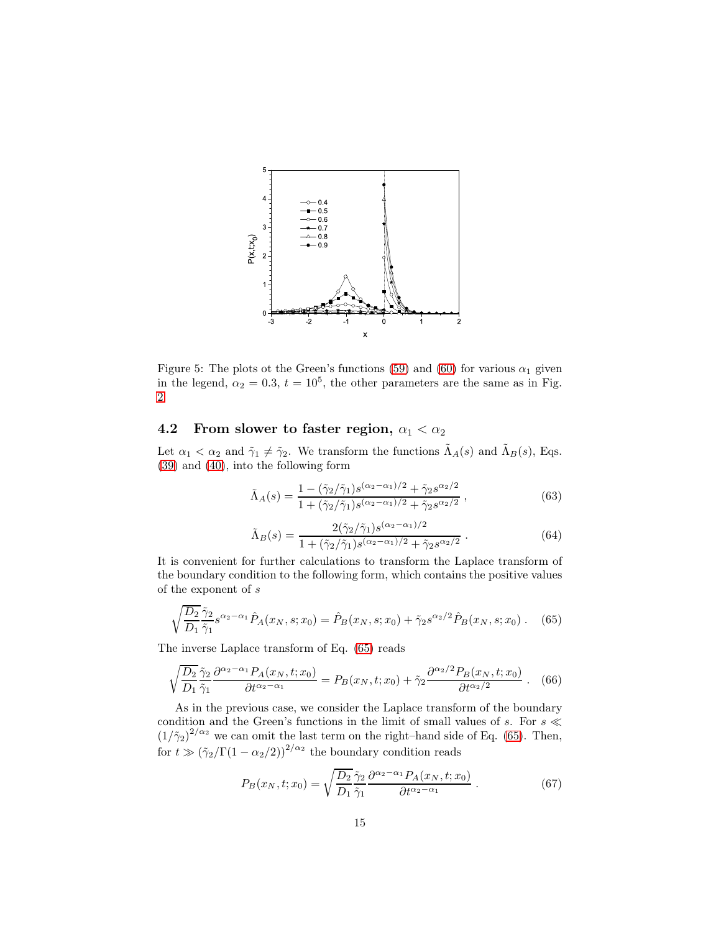

<span id="page-14-0"></span>Figure 5: The plots ot the Green's functions [\(59\)](#page-11-2) and [\(60\)](#page-11-1) for various  $\alpha_1$  given in the legend,  $\alpha_2 = 0.3$ ,  $t = 10^5$ , the other parameters are the same as in Fig. [2.](#page-12-0)

### 4.2 From slower to faster region,  $\alpha_1 < \alpha_2$

Let  $\alpha_1 < \alpha_2$  and  $\tilde{\gamma}_1 \neq \tilde{\gamma}_2$ . We transform the functions  $\tilde{\Lambda}_A(s)$  and  $\tilde{\Lambda}_B(s)$ , Eqs. [\(39\)](#page-8-1) and [\(40\)](#page-8-2), into the following form

$$
\tilde{\Lambda}_A(s) = \frac{1 - (\tilde{\gamma}_2/\tilde{\gamma}_1)s^{(\alpha_2 - \alpha_1)/2} + \tilde{\gamma}_2 s^{\alpha_2/2}}{1 + (\tilde{\gamma}_2/\tilde{\gamma}_1)s^{(\alpha_2 - \alpha_1)/2} + \tilde{\gamma}_2 s^{\alpha_2/2}},
$$
\n(63)

$$
\tilde{\Lambda}_B(s) = \frac{2(\tilde{\gamma}_2/\tilde{\gamma}_1)s^{(\alpha_2 - \alpha_1)/2}}{1 + (\tilde{\gamma}_2/\tilde{\gamma}_1)s^{(\alpha_2 - \alpha_1)/2} + \tilde{\gamma}_2s^{\alpha_2/2}}.
$$
\n(64)

It is convenient for further calculations to transform the Laplace transform of the boundary condition to the following form, which contains the positive values of the exponent of s

<span id="page-14-1"></span>
$$
\sqrt{\frac{D_2}{D_1}} \frac{\tilde{\gamma}_2}{\tilde{\gamma}_1} s^{\alpha_2 - \alpha_1} \hat{P}_A(x_N, s; x_0) = \hat{P}_B(x_N, s; x_0) + \tilde{\gamma}_2 s^{\alpha_2/2} \hat{P}_B(x_N, s; x_0) .
$$
 (65)

The inverse Laplace transform of Eq. [\(65\)](#page-14-1) reads

<span id="page-14-3"></span>
$$
\sqrt{\frac{D_2}{D_1}} \frac{\tilde{\gamma}_2}{\tilde{\gamma}_1} \frac{\partial^{\alpha_2-\alpha_1} P_A(x_N, t; x_0)}{\partial t^{\alpha_2-\alpha_1}} = P_B(x_N, t; x_0) + \tilde{\gamma}_2 \frac{\partial^{\alpha_2/2} P_B(x_N, t; x_0)}{\partial t^{\alpha_2/2}}.
$$
 (66)

As in the previous case, we consider the Laplace transform of the boundary condition and the Green's functions in the limit of small values of  $s.$  For  $s \ll$  $(1/\tilde{\gamma}_2)^{2/\alpha_2}$  we can omit the last term on the right–hand side of Eq. [\(65\)](#page-14-1). Then, for  $t \gg (\tilde{\gamma}_2/\Gamma(1-\alpha_2/2))^{2/\alpha_2}$  the boundary condition reads

<span id="page-14-2"></span>
$$
P_B(x_N, t; x_0) = \sqrt{\frac{D_2}{D_1}} \frac{\tilde{\gamma}_2}{\tilde{\gamma}_1} \frac{\partial^{\alpha_2 - \alpha_1} P_A(x_N, t; x_0)}{\partial t^{\alpha_2 - \alpha_1}} \,. \tag{67}
$$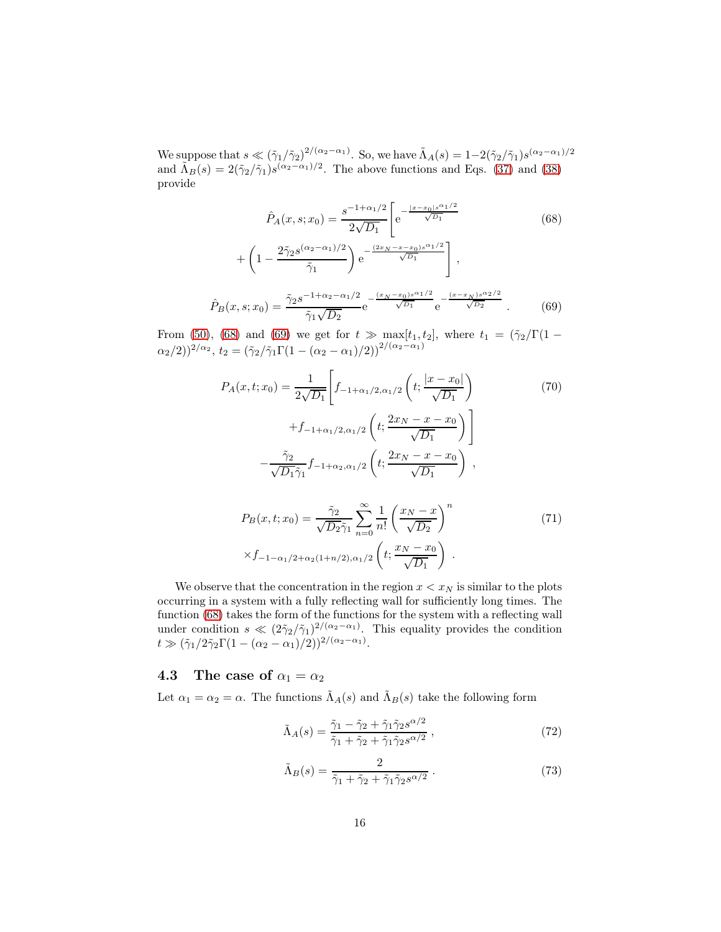We suppose that  $s \ll (\tilde{\gamma}_1/\tilde{\gamma}_2)^{2/(\alpha_2-\alpha_1)}$ . So, we have  $\tilde{\Lambda}_A(s) = 1-2(\tilde{\gamma}_2/\tilde{\gamma}_1)s^{(\alpha_2-\alpha_1)/2}$ and  $\tilde{\Lambda}_B(s) = 2(\tilde{\gamma}_2/\tilde{\gamma}_1)s^{(\alpha_2-\alpha_1)/2}$ . The above functions and Eqs. [\(37\)](#page-8-3) and [\(38\)](#page-8-4) provide

<span id="page-15-0"></span>
$$
\hat{P}_A(x, s; x_0) = \frac{s^{-1+\alpha_1/2}}{2\sqrt{D_1}} \left[ e^{-\frac{|x-x_0|s^{\alpha_1/2}}{\sqrt{D_1}}} \right]
$$
\n
$$
+ \left( 1 - \frac{2\tilde{\gamma}_2 s^{(\alpha_2 - \alpha_1)/2}}{\tilde{\gamma}_1} \right) e^{-\frac{(2x_N - x - x_0)s^{\alpha_1/2}}{\sqrt{D_1}}} \right],
$$
\n
$$
\hat{P}_B(x, s; x_0) = \frac{\tilde{\gamma}_2 s^{-1+\alpha_2 - \alpha_1/2}}{\tilde{\gamma}_1 \sqrt{D_2}} e^{-\frac{(x_N - x_0)s^{\alpha_1/2}}{\sqrt{D_1}}} e^{-\frac{(x - x_N)s^{\alpha_2/2}}{\sqrt{D_2}}}.
$$
\n(69)

<span id="page-15-1"></span>From [\(50\)](#page-10-0), [\(68\)](#page-15-0) and [\(69\)](#page-15-1) we get for  $t \gg \max[t_1, t_2]$ , where  $t_1 = (\tilde{\gamma}_2/\Gamma(1 (\alpha_2/2)$ )<sup>2/</sup> $\alpha_2$ ,  $t_2 = (\tilde{\gamma}_2/\tilde{\gamma}_1 \Gamma(1 - (\alpha_2 - \alpha_1)/2))^{2/(\alpha_2 - \alpha_1)}$ 

<span id="page-15-2"></span>
$$
P_A(x, t; x_0) = \frac{1}{2\sqrt{D_1}} \left[ f_{-1+\alpha_1/2, \alpha_1/2} \left( t; \frac{|x - x_0|}{\sqrt{D_1}} \right) \right]
$$
(70)  

$$
+ f_{-1+\alpha_1/2, \alpha_1/2} \left( t; \frac{2x_N - x - x_0}{\sqrt{D_1}} \right) \right]
$$
  

$$
- \frac{\tilde{\gamma}_2}{\sqrt{D_1} \tilde{\gamma}_1} f_{-1+\alpha_2, \alpha_1/2} \left( t; \frac{2x_N - x - x_0}{\sqrt{D_1}} \right),
$$
  

$$
P_B(x, t; x_0) = \frac{\tilde{\gamma}_2}{\sqrt{D_2} \tilde{\gamma}_1} \sum_{n=1}^{\infty} \frac{1}{n!} \left( \frac{x_N - x}{\sqrt{D_2}} \right)^n
$$
(71)

<span id="page-15-3"></span>
$$
P_B(x, t; x_0) = \frac{72}{\sqrt{D_2 \gamma_1}} \sum_{n=0}^{\infty} \frac{1}{n!} \left( \frac{x_N - x}{\sqrt{D_2}} \right)
$$
(7)  

$$
\times f_{-1-\alpha_1/2 + \alpha_2(1+n/2), \alpha_1/2} \left( t; \frac{x_N - x_0}{\sqrt{D_1}} \right).
$$

We observe that the concentration in the region  $x < x_N$  is similar to the plots occurring in a system with a fully reflecting wall for sufficiently long times. The function [\(68\)](#page-15-0) takes the form of the functions for the system with a reflecting wall under condition  $s \ll (2\tilde{\gamma}_2/\tilde{\gamma}_1)^{2/(\alpha_2-\alpha_1)}$ . This equality provides the condition  $t \gg (\tilde{\gamma}_1/2\tilde{\gamma}_2 \Gamma(1 - (\alpha_2 - \alpha_1)/2))^{2/(\alpha_2 - \alpha_1)}.$ 

### 4.3 The case of  $\alpha_1 = \alpha_2$

Let  $\alpha_1 = \alpha_2 = \alpha$ . The functions  $\tilde{\Lambda}_A(s)$  and  $\tilde{\Lambda}_B(s)$  take the following form

<span id="page-15-4"></span>
$$
\tilde{\Lambda}_A(s) = \frac{\tilde{\gamma}_1 - \tilde{\gamma}_2 + \tilde{\gamma}_1 \tilde{\gamma}_2 s^{\alpha/2}}{\tilde{\gamma}_1 + \tilde{\gamma}_2 + \tilde{\gamma}_1 \tilde{\gamma}_2 s^{\alpha/2}} ,\qquad(72)
$$

<span id="page-15-5"></span>
$$
\tilde{\Lambda}_B(s) = \frac{2}{\tilde{\gamma}_1 + \tilde{\gamma}_2 + \tilde{\gamma}_1 \tilde{\gamma}_2 s^{\alpha/2}}.
$$
\n(73)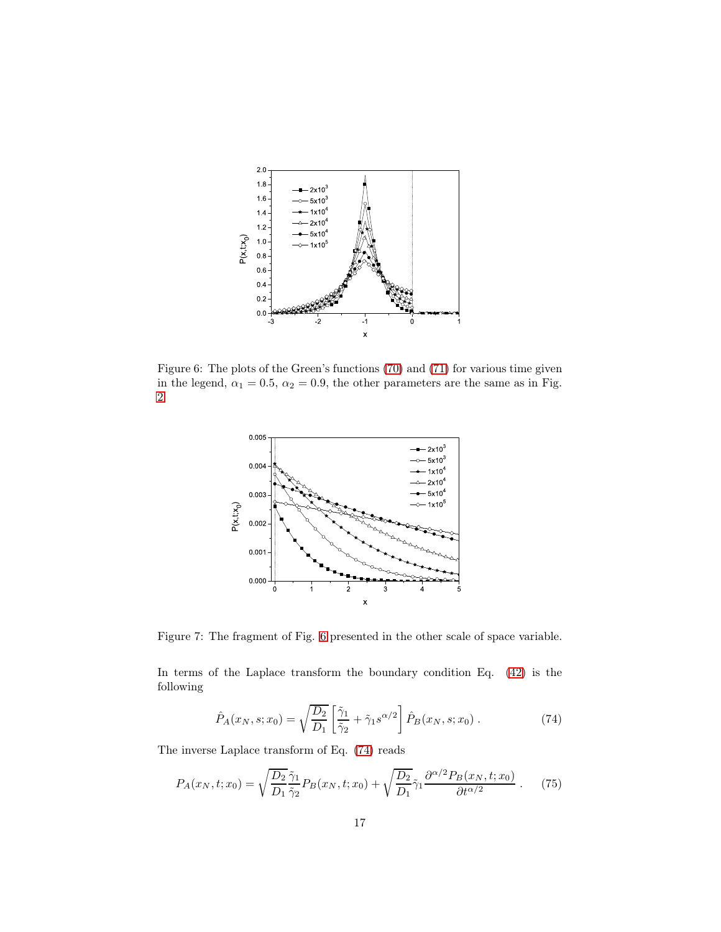

Figure 6: The plots of the Green's functions [\(70\)](#page-15-2) and [\(71\)](#page-15-3) for various time given in the legend,  $\alpha_1 = 0.5$ ,  $\alpha_2 = 0.9$ , the other parameters are the same as in Fig. [2.](#page-12-0)

<span id="page-16-0"></span>

<span id="page-16-2"></span>Figure 7: The fragment of Fig. [6](#page-16-0) presented in the other scale of space variable.

In terms of the Laplace transform the boundary condition Eq. [\(42\)](#page-8-5) is the following

<span id="page-16-1"></span>
$$
\hat{P}_A(x_N, s; x_0) = \sqrt{\frac{D_2}{D_1}} \left[ \frac{\tilde{\gamma}_1}{\tilde{\gamma}_2} + \tilde{\gamma}_1 s^{\alpha/2} \right] \hat{P}_B(x_N, s; x_0) . \tag{74}
$$

The inverse Laplace transform of Eq. [\(74\)](#page-16-1) reads

$$
P_A(x_N, t; x_0) = \sqrt{\frac{D_2}{D_1}} \frac{\tilde{\gamma}_1}{\tilde{\gamma}_2} P_B(x_N, t; x_0) + \sqrt{\frac{D_2}{D_1}} \tilde{\gamma}_1 \frac{\partial^{\alpha/2} P_B(x_N, t; x_0)}{\partial t^{\alpha/2}}.
$$
 (75)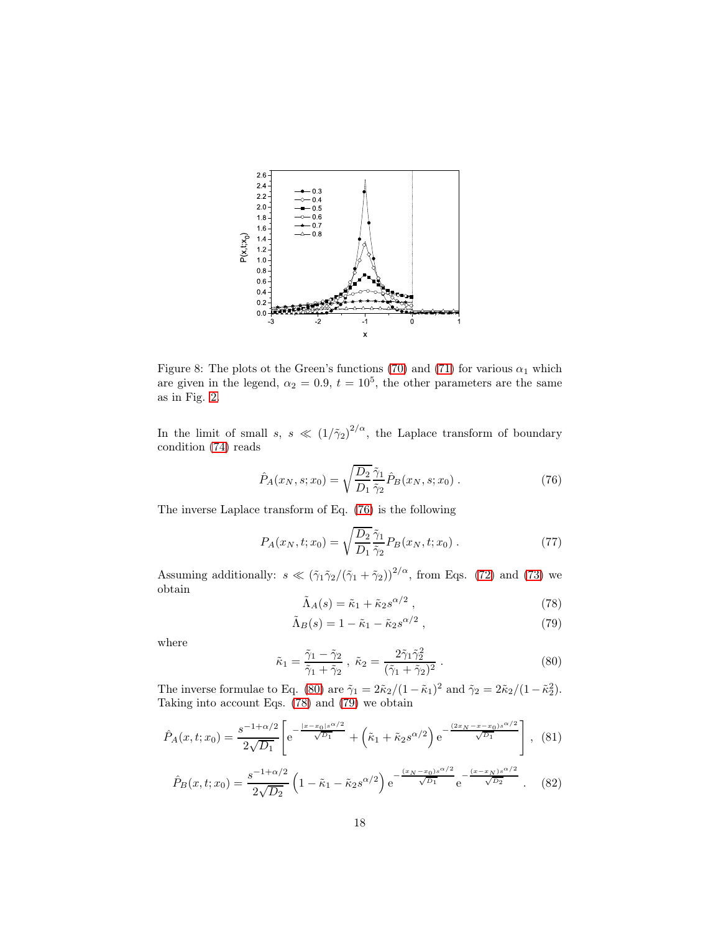

Figure 8: The plots ot the Green's functions [\(70\)](#page-15-2) and [\(71\)](#page-15-3) for various  $\alpha_1$  which are given in the legend,  $\alpha_2 = 0.9$ ,  $t = 10^5$ , the other parameters are the same as in Fig. [2.](#page-12-0)

In the limit of small  $s, s \ll (1/\tilde{\gamma}_2)^{2/\alpha}$ , the Laplace transform of boundary condition [\(74\)](#page-16-1) reads

<span id="page-17-0"></span>
$$
\hat{P}_A(x_N, s; x_0) = \sqrt{\frac{D_2}{D_1}} \frac{\tilde{\gamma}_1}{\tilde{\gamma}_2} \hat{P}_B(x_N, s; x_0) . \tag{76}
$$

The inverse Laplace transform of Eq. [\(76\)](#page-17-0) is the following

$$
P_A(x_N, t; x_0) = \sqrt{\frac{D_2}{D_1}} \frac{\tilde{\gamma}_1}{\tilde{\gamma}_2} P_B(x_N, t; x_0) \,. \tag{77}
$$

Assuming additionally:  $s \ll (\tilde{\gamma}_1 \tilde{\gamma}_2/(\tilde{\gamma}_1 + \tilde{\gamma}_2))^{2/\alpha}$ , from Eqs. [\(72\)](#page-15-4) and [\(73\)](#page-15-5) we obtain

<span id="page-17-2"></span>
$$
\tilde{\Lambda}_A(s) = \tilde{\kappa}_1 + \tilde{\kappa}_2 s^{\alpha/2} \,,\tag{78}
$$

<span id="page-17-3"></span>
$$
\tilde{\Lambda}_B(s) = 1 - \tilde{\kappa}_1 - \tilde{\kappa}_2 s^{\alpha/2} \,,\tag{79}
$$

where

<span id="page-17-1"></span>
$$
\tilde{\kappa}_1 = \frac{\tilde{\gamma}_1 - \tilde{\gamma}_2}{\tilde{\gamma}_1 + \tilde{\gamma}_2}, \ \tilde{\kappa}_2 = \frac{2\tilde{\gamma}_1 \tilde{\gamma}_2^2}{(\tilde{\gamma}_1 + \tilde{\gamma}_2)^2} \ . \tag{80}
$$

The inverse formulae to Eq. [\(80\)](#page-17-1) are  $\tilde{\gamma}_1 = 2\tilde{\kappa}_2/(1-\tilde{\kappa}_1)^2$  and  $\tilde{\gamma}_2 = 2\tilde{\kappa}_2/(1-\tilde{\kappa}_2^2)$ . Taking into account Eqs. [\(78\)](#page-17-2) and [\(79\)](#page-17-3) we obtain

<span id="page-17-4"></span>
$$
\hat{P}_A(x,t;x_0) = \frac{s^{-1+\alpha/2}}{2\sqrt{D_1}} \left[ e^{-\frac{|x-x_0|s^{\alpha/2}}{\sqrt{D_1}}} + \left(\tilde{\kappa}_1 + \tilde{\kappa}_2 s^{\alpha/2}\right) e^{-\frac{(2x_N - x - x_0)s^{\alpha/2}}{\sqrt{D_1}}} \right], \quad (81)
$$

<span id="page-17-5"></span>
$$
\hat{P}_B(x,t;x_0) = \frac{s^{-1+\alpha/2}}{2\sqrt{D_2}} \left(1 - \tilde{\kappa}_1 - \tilde{\kappa}_2 s^{\alpha/2}\right) e^{-\frac{(x_N - x_0)s^{\alpha/2}}{\sqrt{D_1}}} e^{-\frac{(x-x_N)s^{\alpha/2}}{\sqrt{D_2}}}.
$$
 (82)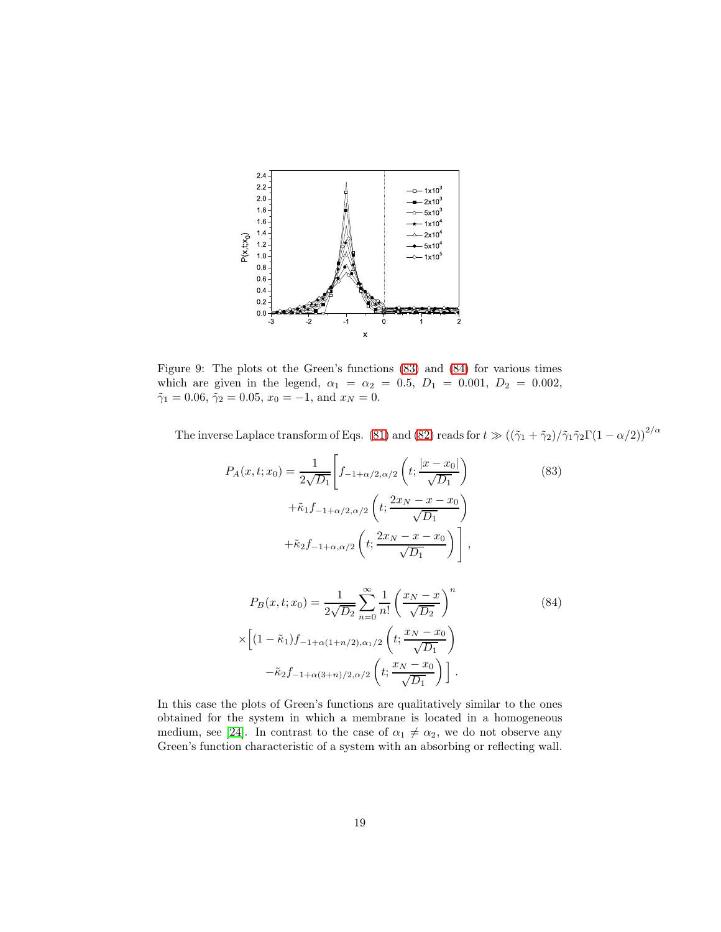

Figure 9: The plots ot the Green's functions [\(83\)](#page-18-0) and [\(84\)](#page-18-1) for various times which are given in the legend,  $\alpha_1 = \alpha_2 = 0.5$ ,  $D_1 = 0.001$ ,  $D_2 = 0.002$ ,  $\tilde{\gamma}_1 = 0.06, \, \tilde{\gamma}_2 = 0.05, \, x_0 = -1, \, \text{and} \, x_N = 0.$ 

The inverse Laplace transform of Eqs. [\(81\)](#page-17-4) and [\(82\)](#page-17-5) reads for  $t \gg ((\tilde{\gamma}_1 + \tilde{\gamma}_2)/\tilde{\gamma}_1\tilde{\gamma}_2\Gamma(1 - \alpha/2))^{2/\alpha}$ 

<span id="page-18-0"></span>
$$
P_A(x, t; x_0) = \frac{1}{2\sqrt{D_1}} \left[ f_{-1+\alpha/2, \alpha/2} \left( t; \frac{|x - x_0|}{\sqrt{D_1}} \right) + \tilde{\kappa}_1 f_{-1+\alpha/2, \alpha/2} \left( t; \frac{2x_N - x - x_0}{\sqrt{D_1}} \right) + \tilde{\kappa}_2 f_{-1+\alpha, \alpha/2} \left( t; \frac{2x_N - x - x_0}{\sqrt{D_1}} \right) \right],
$$
\n(83)

<span id="page-18-1"></span>
$$
P_B(x, t; x_0) = \frac{1}{2\sqrt{D_2}} \sum_{n=0}^{\infty} \frac{1}{n!} \left(\frac{x_N - x}{\sqrt{D_2}}\right)^n
$$
  
 
$$
\times \left[ (1 - \tilde{\kappa}_1) f_{-1 + \alpha(1 + n/2), \alpha_1/2} \left(t; \frac{x_N - x_0}{\sqrt{D_1}}\right) -\tilde{\kappa}_2 f_{-1 + \alpha(3 + n)/2, \alpha/2} \left(t; \frac{x_N - x_0}{\sqrt{D_1}}\right) \right].
$$
 (84)

In this case the plots of Green's functions are qualitatively similar to the ones obtained for the system in which a membrane is located in a homogeneous medium, see [\[24\]](#page-24-13). In contrast to the case of  $\alpha_1 \neq \alpha_2$ , we do not observe any Green's function characteristic of a system with an absorbing or reflecting wall.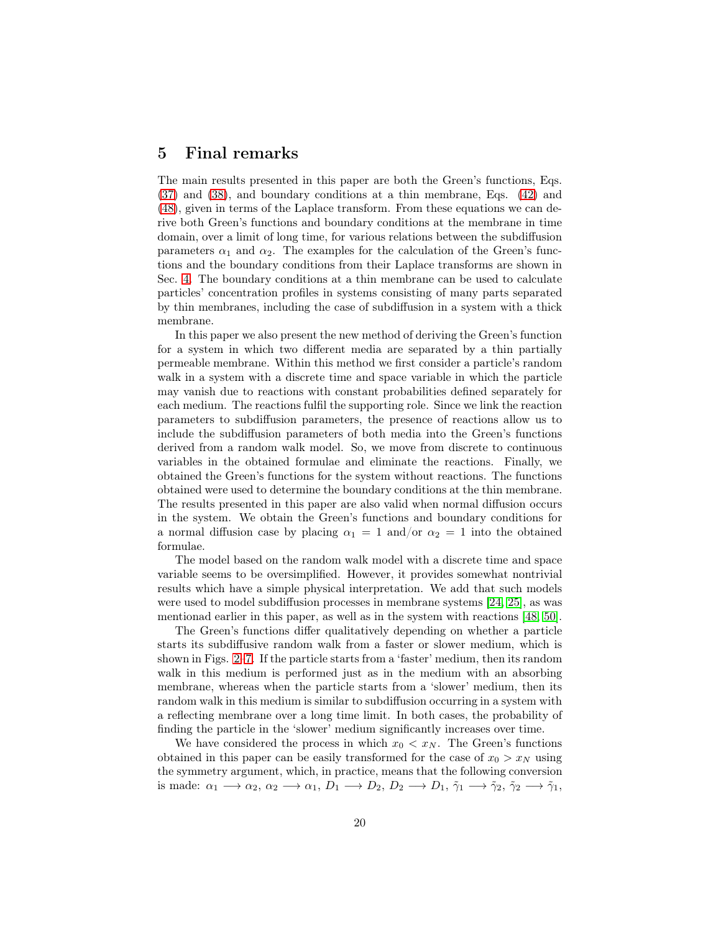### <span id="page-19-0"></span>5 Final remarks

The main results presented in this paper are both the Green's functions, Eqs. [\(37\)](#page-8-3) and [\(38\)](#page-8-4), and boundary conditions at a thin membrane, Eqs. [\(42\)](#page-8-5) and [\(48\)](#page-9-4), given in terms of the Laplace transform. From these equations we can derive both Green's functions and boundary conditions at the membrane in time domain, over a limit of long time, for various relations between the subdiffusion parameters  $\alpha_1$  and  $\alpha_2$ . The examples for the calculation of the Green's functions and the boundary conditions from their Laplace transforms are shown in Sec. [4.](#page-9-0) The boundary conditions at a thin membrane can be used to calculate particles' concentration profiles in systems consisting of many parts separated by thin membranes, including the case of subdiffusion in a system with a thick membrane.

In this paper we also present the new method of deriving the Green's function for a system in which two different media are separated by a thin partially permeable membrane. Within this method we first consider a particle's random walk in a system with a discrete time and space variable in which the particle may vanish due to reactions with constant probabilities defined separately for each medium. The reactions fulfil the supporting role. Since we link the reaction parameters to subdiffusion parameters, the presence of reactions allow us to include the subdiffusion parameters of both media into the Green's functions derived from a random walk model. So, we move from discrete to continuous variables in the obtained formulae and eliminate the reactions. Finally, we obtained the Green's functions for the system without reactions. The functions obtained were used to determine the boundary conditions at the thin membrane. The results presented in this paper are also valid when normal diffusion occurs in the system. We obtain the Green's functions and boundary conditions for a normal diffusion case by placing  $\alpha_1 = 1$  and/or  $\alpha_2 = 1$  into the obtained formulae.

The model based on the random walk model with a discrete time and space variable seems to be oversimplified. However, it provides somewhat nontrivial results which have a simple physical interpretation. We add that such models were used to model subdiffusion processes in membrane systems [\[24,](#page-24-13) [25\]](#page-24-14), as was mentionad earlier in this paper, as well as in the system with reactions [\[48,](#page-26-7) [50\]](#page-26-9).

The Green's functions differ qualitatively depending on whether a particle starts its subdiffusive random walk from a faster or slower medium, which is shown in Figs. [2–](#page-12-0)[7.](#page-16-2) If the particle starts from a 'faster' medium, then its random walk in this medium is performed just as in the medium with an absorbing membrane, whereas when the particle starts from a 'slower' medium, then its random walk in this medium is similar to subdiffusion occurring in a system with a reflecting membrane over a long time limit. In both cases, the probability of finding the particle in the 'slower' medium significantly increases over time.

We have considered the process in which  $x_0 < x_N$ . The Green's functions obtained in this paper can be easily transformed for the case of  $x_0 > x_N$  using the symmetry argument, which, in practice, means that the following conversion is made:  $\alpha_1 \longrightarrow \alpha_2, \, \alpha_2 \longrightarrow \alpha_1, \, D_1 \longrightarrow D_2, \, D_2 \longrightarrow D_1, \, \tilde{\gamma}_1 \longrightarrow \tilde{\gamma}_2, \, \tilde{\gamma}_2 \longrightarrow \tilde{\gamma}_1,$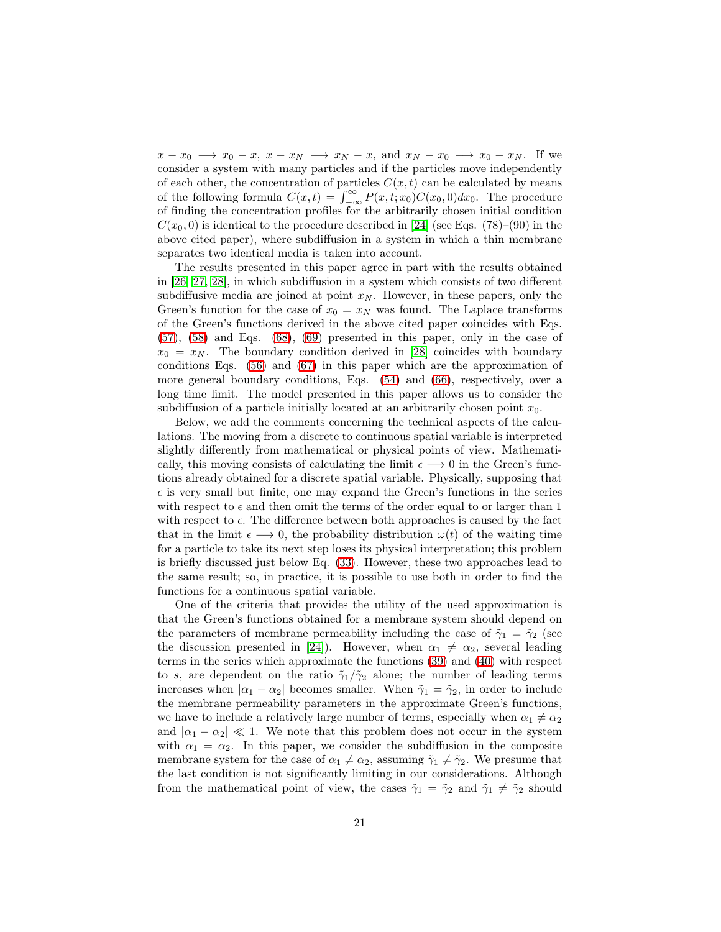$x - x_0 \longrightarrow x_0 - x$ ,  $x - x_N \longrightarrow x_N - x$ , and  $x_N - x_0 \longrightarrow x_0 - x_N$ . If we consider a system with many particles and if the particles move independently of each other, the concentration of particles  $C(x, t)$  can be calculated by means of the following formula  $C(x,t) = \int_{-\infty}^{\infty} P(x,t;x_0)C(x_0,0)dx_0$ . The procedure of finding the concentration profiles for the arbitrarily chosen initial condition  $C(x_0, 0)$  is identical to the procedure described in [\[24\]](#page-24-13) (see Eqs. (78)–(90) in the above cited paper), where subdiffusion in a system in which a thin membrane separates two identical media is taken into account.

The results presented in this paper agree in part with the results obtained in [\[26,](#page-24-15) [27,](#page-25-0) [28\]](#page-25-1), in which subdiffusion in a system which consists of two different subdiffusive media are joined at point  $x_N$ . However, in these papers, only the Green's function for the case of  $x_0 = x_N$  was found. The Laplace transforms of the Green's functions derived in the above cited paper coincides with Eqs. [\(57\)](#page-11-3), [\(58\)](#page-11-0) and Eqs. [\(68\)](#page-15-0), [\(69\)](#page-15-1) presented in this paper, only in the case of  $x_0 = x_N$ . The boundary condition derived in [\[28\]](#page-25-1) coincides with boundary conditions Eqs. [\(56\)](#page-11-4) and [\(67\)](#page-14-2) in this paper which are the approximation of more general boundary conditions, Eqs. [\(54\)](#page-10-4) and [\(66\)](#page-14-3), respectively, over a long time limit. The model presented in this paper allows us to consider the subdiffusion of a particle initially located at an arbitrarily chosen point  $x_0$ .

Below, we add the comments concerning the technical aspects of the calculations. The moving from a discrete to continuous spatial variable is interpreted slightly differently from mathematical or physical points of view. Mathematically, this moving consists of calculating the limit  $\epsilon \longrightarrow 0$  in the Green's functions already obtained for a discrete spatial variable. Physically, supposing that  $\epsilon$  is very small but finite, one may expand the Green's functions in the series with respect to  $\epsilon$  and then omit the terms of the order equal to or larger than 1 with respect to  $\epsilon$ . The difference between both approaches is caused by the fact that in the limit  $\epsilon \longrightarrow 0$ , the probability distribution  $\omega(t)$  of the waiting time for a particle to take its next step loses its physical interpretation; this problem is briefly discussed just below Eq. [\(33\)](#page-7-3). However, these two approaches lead to the same result; so, in practice, it is possible to use both in order to find the functions for a continuous spatial variable.

One of the criteria that provides the utility of the used approximation is that the Green's functions obtained for a membrane system should depend on the parameters of membrane permeability including the case of  $\tilde{\gamma}_1 = \tilde{\gamma}_2$  (see the discussion presented in [\[24\]](#page-24-13)). However, when  $\alpha_1 \neq \alpha_2$ , several leading terms in the series which approximate the functions [\(39\)](#page-8-1) and [\(40\)](#page-8-2) with respect to s, are dependent on the ratio  $\tilde{\gamma}_1/\tilde{\gamma}_2$  alone; the number of leading terms increases when  $|\alpha_1 - \alpha_2|$  becomes smaller. When  $\tilde{\gamma}_1 = \tilde{\gamma}_2$ , in order to include the membrane permeability parameters in the approximate Green's functions, we have to include a relatively large number of terms, especially when  $\alpha_1 \neq \alpha_2$ and  $|\alpha_1 - \alpha_2| \ll 1$ . We note that this problem does not occur in the system with  $\alpha_1 = \alpha_2$ . In this paper, we consider the subdiffusion in the composite membrane system for the case of  $\alpha_1 \neq \alpha_2$ , assuming  $\tilde{\gamma}_1 \neq \tilde{\gamma}_2$ . We presume that the last condition is not significantly limiting in our considerations. Although from the mathematical point of view, the cases  $\tilde{\gamma}_1 = \tilde{\gamma}_2$  and  $\tilde{\gamma}_1 \neq \tilde{\gamma}_2$  should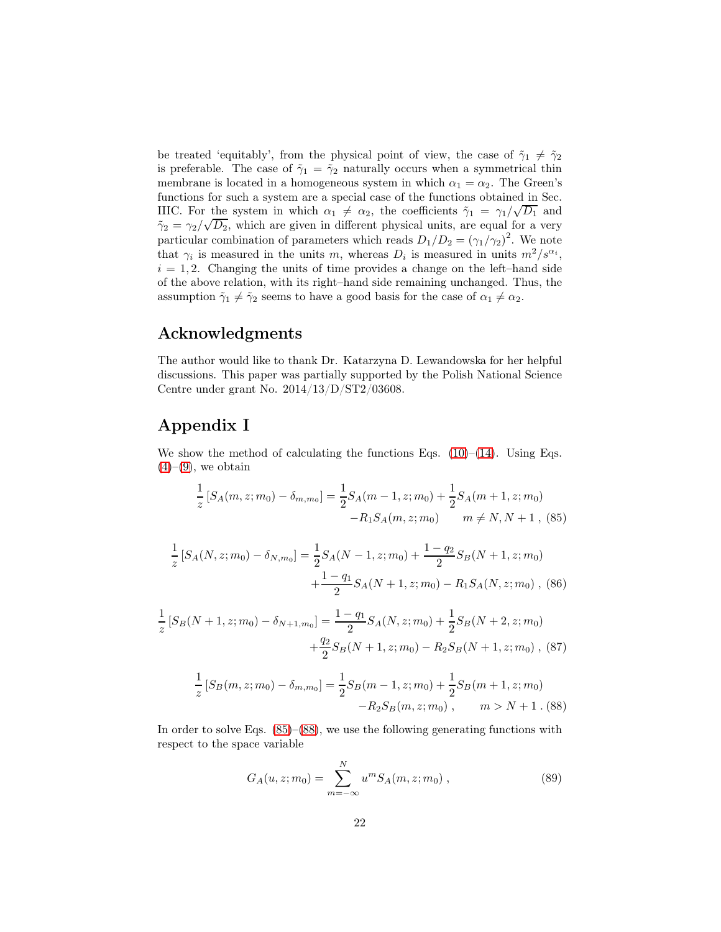be treated 'equitably', from the physical point of view, the case of  $\tilde{\gamma}_1 \neq \tilde{\gamma}_2$ is preferable. The case of  $\tilde{\gamma}_1 = \tilde{\gamma}_2$  naturally occurs when a symmetrical thin membrane is located in a homogeneous system in which  $\alpha_1 = \alpha_2$ . The Green's functions for such a system are a special case of the functions obtained in Sec. IIIC. For the system in which  $\alpha_1 \neq \alpha_2$ , the coefficients  $\tilde{\gamma}_1 = \gamma_1/\sqrt{D_1}$  and  $\tilde{\gamma}_2 = \gamma_2/\sqrt{D_2}$ , which are given in different physical units, are equal for a very particular combination of parameters which reads  $D_1/D_2 = (\gamma_1/\gamma_2)^2$ . We note that  $\gamma_i$  is measured in the units m, whereas  $D_i$  is measured in units  $m^2/s^{\alpha_i}$ ,  $i = 1, 2$ . Changing the units of time provides a change on the left–hand side of the above relation, with its right–hand side remaining unchanged. Thus, the assumption  $\tilde{\gamma}_1 \neq \tilde{\gamma}_2$  seems to have a good basis for the case of  $\alpha_1 \neq \alpha_2$ .

## Acknowledgments

The author would like to thank Dr. Katarzyna D. Lewandowska for her helpful discussions. This paper was partially supported by the Polish National Science Centre under grant No. 2014/13/D/ST2/03608.

## Appendix I

We show the method of calculating the functions Eqs.  $(10)$ – $(14)$ . Using Eqs.  $(4)$ – $(9)$ , we obtain

<span id="page-21-0"></span>
$$
\frac{1}{z}[S_A(m, z; m_0) - \delta_{m, m_0}] = \frac{1}{2}S_A(m - 1, z; m_0) + \frac{1}{2}S_A(m + 1, z; m_0)
$$

$$
-R_1S_A(m, z; m_0) \qquad m \neq N, N + 1 ,
$$
 (85)

$$
\frac{1}{z}[S_A(N, z; m_0) - \delta_{N, m_0}] = \frac{1}{2}S_A(N - 1, z; m_0) + \frac{1 - q_2}{2}S_B(N + 1, z; m_0) + \frac{1 - q_1}{2}S_A(N + 1, z; m_0) - R_1S_A(N, z; m_0), (86)
$$

$$
\frac{1}{z}[S_B(N+1, z; m_0) - \delta_{N+1, m_0}] = \frac{1 - q_1}{2} S_A(N, z; m_0) + \frac{1}{2} S_B(N+2, z; m_0) \n+ \frac{q_2}{2} S_B(N+1, z; m_0) - R_2 S_B(N+1, z; m_0) ,
$$
 (87)

$$
\frac{1}{z}[S_B(m, z; m_0) - \delta_{m, m_0}] = \frac{1}{2}S_B(m - 1, z; m_0) + \frac{1}{2}S_B(m + 1, z; m_0) -R_2S_B(m, z; m_0), \qquad m > N + 1. \tag{88}
$$

In order to solve Eqs. [\(85\)](#page-21-0)–[\(88\)](#page-21-0), we use the following generating functions with respect to the space variable

$$
G_A(u, z; m_0) = \sum_{m = -\infty}^{N} u^m S_A(m, z; m_0) , \qquad (89)
$$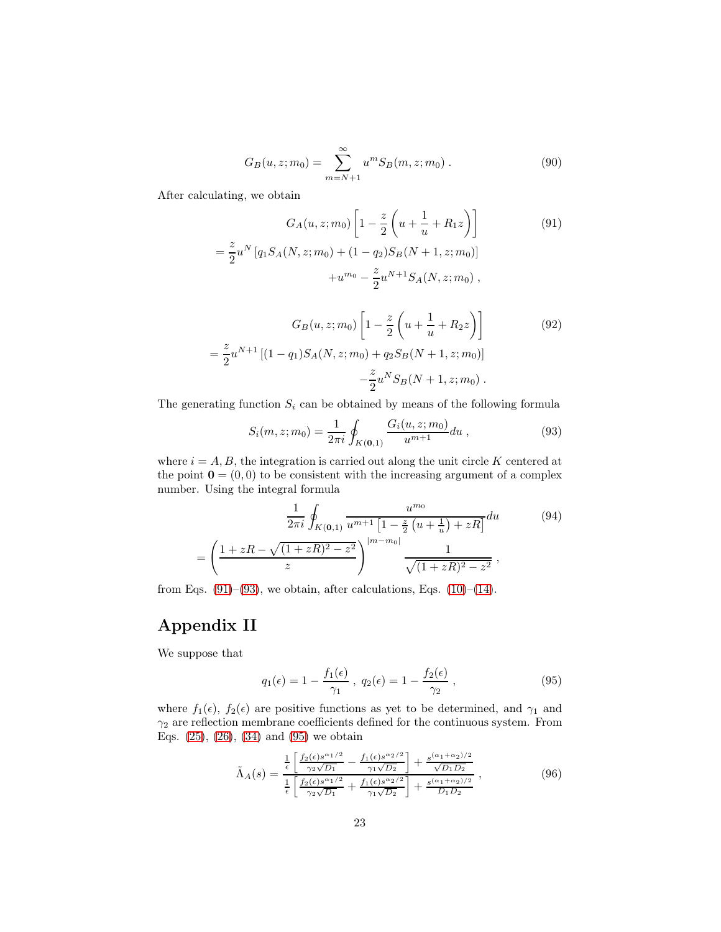$$
G_B(u, z; m_0) = \sum_{m=N+1}^{\infty} u^m S_B(m, z; m_0).
$$
 (90)

After calculating, we obtain

<span id="page-22-0"></span>
$$
G_A(u, z; m_0) \left[ 1 - \frac{z}{2} \left( u + \frac{1}{u} + R_1 z \right) \right]
$$
(91)  

$$
= \frac{z}{2} u^N \left[ q_1 S_A(N, z; m_0) + (1 - q_2) S_B(N + 1, z; m_0) \right]
$$

$$
+ u^{m_0} - \frac{z}{2} u^{N+1} S_A(N, z; m_0) ,
$$

$$
G_B(u, z; m_0) \left[ 1 - \frac{z}{2} \left( u + \frac{1}{u} + R_2 z \right) \right]
$$
(92)  
=  $\frac{z}{2} u^{N+1} \left[ (1 - q_1) S_A(N, z; m_0) + q_2 S_B(N+1, z; m_0) \right]$   
 $-\frac{z}{2} u^N S_B(N+1, z; m_0) .$ 

The generating function  $S_i$  can be obtained by means of the following formula

<span id="page-22-1"></span>
$$
S_i(m, z; m_0) = \frac{1}{2\pi i} \oint_{K(\mathbf{0}, 1)} \frac{G_i(u, z; m_0)}{u^{m+1}} du , \qquad (93)
$$

where  $i = A, B$ , the integration is carried out along the unit circle K centered at the point  $\mathbf{0} = (0,0)$  to be consistent with the increasing argument of a complex number. Using the integral formula

$$
\frac{1}{2\pi i} \oint_{K(\mathbf{0},1)} \frac{u^{m_0}}{u^{m+1} \left[1 - \frac{z}{2} \left(u + \frac{1}{u}\right) + zR\right]} du \tag{94}
$$
\n
$$
= \left(\frac{1 + zR - \sqrt{(1 + zR)^2 - z^2}}{z}\right)^{|m - m_0|} \frac{1}{\sqrt{(1 + zR)^2 - z^2}},
$$

from Eqs.  $(91)$ – $(93)$ , we obtain, after calculations, Eqs.  $(10)$ – $(14)$ .

## Appendix II

We suppose that

<span id="page-22-2"></span>
$$
q_1(\epsilon) = 1 - \frac{f_1(\epsilon)}{\gamma_1}, \ q_2(\epsilon) = 1 - \frac{f_2(\epsilon)}{\gamma_2}, \qquad (95)
$$

where  $f_1(\epsilon)$ ,  $f_2(\epsilon)$  are positive functions as yet to be determined, and  $\gamma_1$  and  $\gamma_2$  are reflection membrane coefficients defined for the continuous system. From Eqs. [\(25\)](#page-6-7), [\(26\)](#page-6-8), [\(34\)](#page-7-4) and [\(95\)](#page-22-2) we obtain

<span id="page-22-3"></span>
$$
\tilde{\Lambda}_A(s) = \frac{\frac{1}{\epsilon} \left[ \frac{f_2(\epsilon) s^{\alpha_1/2}}{\gamma_2 \sqrt{D_1}} - \frac{f_1(\epsilon) s^{\alpha_2/2}}{\gamma_1 \sqrt{D_2}} \right] + \frac{s^{(\alpha_1 + \alpha_2)/2}}{\sqrt{D_1 D_2}}}{\frac{1}{\epsilon} \left[ \frac{f_2(\epsilon) s^{\alpha_1/2}}{\gamma_2 \sqrt{D_1}} + \frac{f_1(\epsilon) s^{\alpha_2/2}}{\gamma_1 \sqrt{D_2}} \right] + \frac{s^{(\alpha_1 + \alpha_2)/2}}{D_1 D_2}},
$$
\n(96)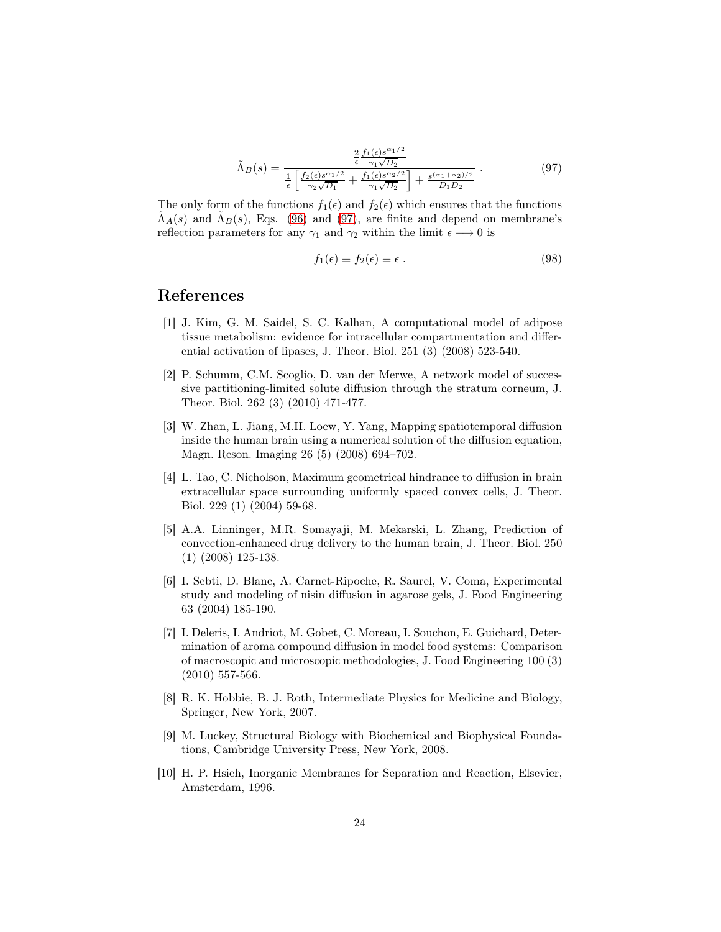<span id="page-23-10"></span>
$$
\tilde{\Lambda}_B(s) = \frac{\frac{2}{\epsilon} \frac{f_1(\epsilon) s^{\alpha_1/2}}{\gamma_1 \sqrt{D_2}}}{\frac{1}{\epsilon} \left[ \frac{f_2(\epsilon) s^{\alpha_1/2}}{\gamma_2 \sqrt{D_1}} + \frac{f_1(\epsilon) s^{\alpha_2/2}}{\gamma_1 \sqrt{D_2}} \right] + \frac{s^{(\alpha_1 + \alpha_2)/2}}{D_1 D_2}}.
$$
\n(97)

The only form of the functions  $f_1(\epsilon)$  and  $f_2(\epsilon)$  which ensures that the functions  $\Lambda_A(s)$  and  $\Lambda_B(s)$ , Eqs. [\(96\)](#page-22-3) and [\(97\)](#page-23-10), are finite and depend on membrane's reflection parameters for any  $\gamma_1$  and  $\gamma_2$  within the limit  $\epsilon \longrightarrow 0$  is

$$
f_1(\epsilon) \equiv f_2(\epsilon) \equiv \epsilon \ . \tag{98}
$$

### <span id="page-23-0"></span>References

- [1] J. Kim, G. M. Saidel, S. C. Kalhan, A computational model of adipose tissue metabolism: evidence for intracellular compartmentation and differential activation of lipases, J. Theor. Biol. 251 (3) (2008) 523-540.
- <span id="page-23-1"></span>[2] P. Schumm, C.M. Scoglio, D. van der Merwe, A network model of successive partitioning-limited solute diffusion through the stratum corneum, J. Theor. Biol. 262 (3) (2010) 471-477.
- <span id="page-23-2"></span>[3] W. Zhan, L. Jiang, M.H. Loew, Y. Yang, Mapping spatiotemporal diffusion inside the human brain using a numerical solution of the diffusion equation, Magn. Reson. Imaging 26 (5) (2008) 694–702.
- <span id="page-23-3"></span>[4] L. Tao, C. Nicholson, Maximum geometrical hindrance to diffusion in brain extracellular space surrounding uniformly spaced convex cells, J. Theor. Biol. 229 (1) (2004) 59-68.
- <span id="page-23-4"></span>[5] A.A. Linninger, M.R. Somayaji, M. Mekarski, L. Zhang, Prediction of convection-enhanced drug delivery to the human brain, J. Theor. Biol. 250 (1) (2008) 125-138.
- <span id="page-23-5"></span>[6] I. Sebti, D. Blanc, A. Carnet-Ripoche, R. Saurel, V. Coma, Experimental study and modeling of nisin diffusion in agarose gels, J. Food Engineering 63 (2004) 185-190.
- <span id="page-23-6"></span>[7] I. Deleris, I. Andriot, M. Gobet, C. Moreau, I. Souchon, E. Guichard, Determination of aroma compound diffusion in model food systems: Comparison of macroscopic and microscopic methodologies, J. Food Engineering 100 (3) (2010) 557-566.
- <span id="page-23-7"></span>[8] R. K. Hobbie, B. J. Roth, Intermediate Physics for Medicine and Biology, Springer, New York, 2007.
- <span id="page-23-8"></span>[9] M. Luckey, Structural Biology with Biochemical and Biophysical Foundations, Cambridge University Press, New York, 2008.
- <span id="page-23-9"></span>[10] H. P. Hsieh, Inorganic Membranes for Separation and Reaction, Elsevier, Amsterdam, 1996.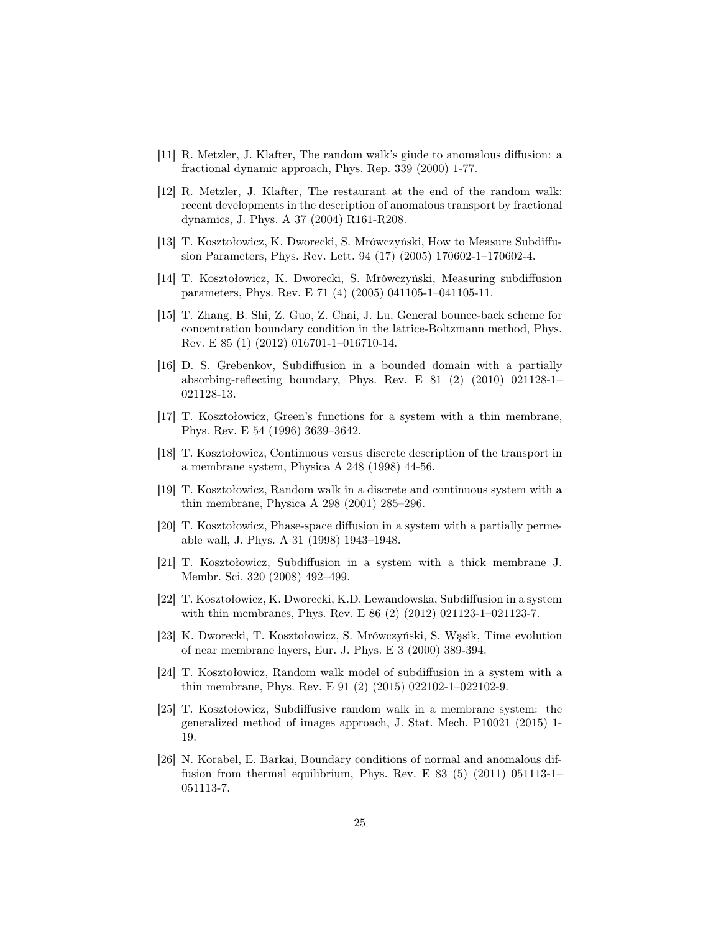- <span id="page-24-1"></span><span id="page-24-0"></span>[11] R. Metzler, J. Klafter, The random walk's giude to anomalous diffusion: a fractional dynamic approach, Phys. Rep. 339 (2000) 1-77.
- [12] R. Metzler, J. Klafter, The restaurant at the end of the random walk: recent developments in the description of anomalous transport by fractional dynamics, J. Phys. A 37 (2004) R161-R208.
- <span id="page-24-2"></span>[13] T. Kosztołowicz, K. Dworecki, S. Mrówczyński, How to Measure Subdiffusion Parameters, Phys. Rev. Lett. 94 (17) (2005) 170602-1–170602-4.
- <span id="page-24-3"></span>[14] T. Kosztołowicz, K. Dworecki, S. Mrówczyński, Measuring subdiffusion parameters, Phys. Rev. E 71 (4) (2005) 041105-1–041105-11.
- <span id="page-24-4"></span>[15] T. Zhang, B. Shi, Z. Guo, Z. Chai, J. Lu, General bounce-back scheme for concentration boundary condition in the lattice-Boltzmann method, Phys. Rev. E 85 (1) (2012) 016701-1–016710-14.
- <span id="page-24-5"></span>[16] D. S. Grebenkov, Subdiffusion in a bounded domain with a partially absorbing-reflecting boundary, Phys. Rev. E 81 (2) (2010) 021128-1– 021128-13.
- <span id="page-24-6"></span>[17] T. Kosztołowicz, Green's functions for a system with a thin membrane, Phys. Rev. E 54 (1996) 3639–3642.
- <span id="page-24-8"></span><span id="page-24-7"></span>[18] T. Kosztołowicz, Continuous versus discrete description of the transport in a membrane system, Physica A 248 (1998) 44-56.
- [19] T. Kosztołowicz, Random walk in a discrete and continuous system with a thin membrane, Physica A 298 (2001) 285–296.
- <span id="page-24-9"></span>[20] T. Kosztołowicz, Phase-space diffusion in a system with a partially permeable wall, J. Phys. A 31 (1998) 1943–1948.
- <span id="page-24-10"></span>[21] T. Kosztołowicz, Subdiffusion in a system with a thick membrane J. Membr. Sci. 320 (2008) 492–499.
- <span id="page-24-11"></span>[22] T. Kosztołowicz, K. Dworecki, K.D. Lewandowska, Subdiffusion in a system with thin membranes, Phys. Rev. E 86 (2) (2012) 021123-1–021123-7.
- <span id="page-24-12"></span>[23] K. Dworecki, T. Kosztołowicz, S. Mrówczyński, S. Wąsik, Time evolution of near membrane layers, Eur. J. Phys. E 3 (2000) 389-394.
- <span id="page-24-13"></span>[24] T. Kosztołowicz, Random walk model of subdiffusion in a system with a thin membrane, Phys. Rev. E 91 (2) (2015) 022102-1–022102-9.
- <span id="page-24-14"></span>[25] T. Kosztołowicz, Subdiffusive random walk in a membrane system: the generalized method of images approach, J. Stat. Mech. P10021 (2015) 1- 19.
- <span id="page-24-15"></span>[26] N. Korabel, E. Barkai, Boundary conditions of normal and anomalous diffusion from thermal equilibrium, Phys. Rev. E  $83$  (5) (2011) 051113-1– 051113-7.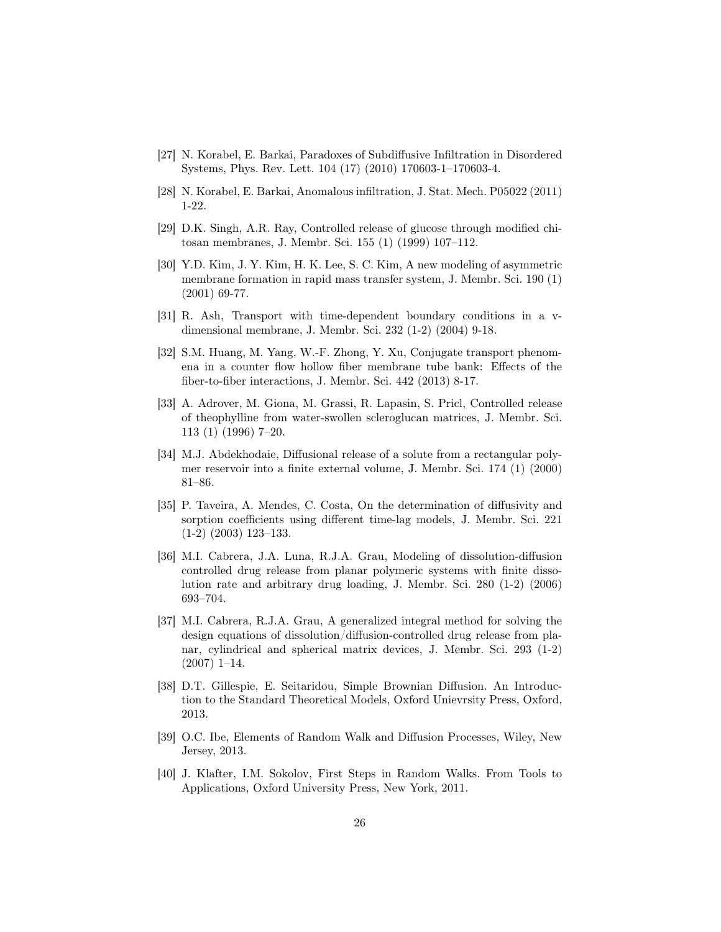- <span id="page-25-1"></span><span id="page-25-0"></span>[27] N. Korabel, E. Barkai, Paradoxes of Subdiffusive Infiltration in Disordered Systems, Phys. Rev. Lett. 104 (17) (2010) 170603-1–170603-4.
- <span id="page-25-2"></span>[28] N. Korabel, E. Barkai, Anomalous infiltration, J. Stat. Mech. P05022 (2011) 1-22.
- [29] D.K. Singh, A.R. Ray, Controlled release of glucose through modified chitosan membranes, J. Membr. Sci. 155 (1) (1999) 107–112.
- <span id="page-25-3"></span>[30] Y.D. Kim, J. Y. Kim, H. K. Lee, S. C. Kim, A new modeling of asymmetric membrane formation in rapid mass transfer system, J. Membr. Sci. 190 (1) (2001) 69-77.
- <span id="page-25-4"></span>[31] R. Ash, Transport with time-dependent boundary conditions in a vdimensional membrane, J. Membr. Sci. 232 (1-2) (2004) 9-18.
- <span id="page-25-5"></span>[32] S.M. Huang, M. Yang, W.-F. Zhong, Y. Xu, Conjugate transport phenomena in a counter flow hollow fiber membrane tube bank: Effects of the fiber-to-fiber interactions, J. Membr. Sci. 442 (2013) 8-17.
- <span id="page-25-6"></span>[33] A. Adrover, M. Giona, M. Grassi, R. Lapasin, S. Pricl, Controlled release of theophylline from water-swollen scleroglucan matrices, J. Membr. Sci. 113 (1) (1996) 7–20.
- <span id="page-25-7"></span>[34] M.J. Abdekhodaie, Diffusional release of a solute from a rectangular polymer reservoir into a finite external volume, J. Membr. Sci. 174 (1) (2000) 81–86.
- <span id="page-25-8"></span>[35] P. Taveira, A. Mendes, C. Costa, On the determination of diffusivity and sorption coefficients using different time-lag models, J. Membr. Sci. 221 (1-2) (2003) 123–133.
- <span id="page-25-9"></span>[36] M.I. Cabrera, J.A. Luna, R.J.A. Grau, Modeling of dissolution-diffusion controlled drug release from planar polymeric systems with finite dissolution rate and arbitrary drug loading, J. Membr. Sci. 280 (1-2) (2006) 693–704.
- <span id="page-25-10"></span>[37] M.I. Cabrera, R.J.A. Grau, A generalized integral method for solving the design equations of dissolution/diffusion-controlled drug release from planar, cylindrical and spherical matrix devices, J. Membr. Sci. 293 (1-2)  $(2007)$  1–14.
- <span id="page-25-11"></span>[38] D.T. Gillespie, E. Seitaridou, Simple Brownian Diffusion. An Introduction to the Standard Theoretical Models, Oxford Unievrsity Press, Oxford, 2013.
- <span id="page-25-12"></span>[39] O.C. Ibe, Elements of Random Walk and Diffusion Processes, Wiley, New Jersey, 2013.
- <span id="page-25-13"></span>[40] J. Klafter, I.M. Sokolov, First Steps in Random Walks. From Tools to Applications, Oxford University Press, New York, 2011.